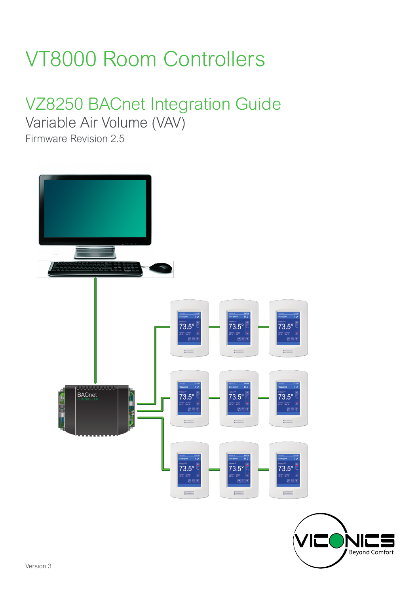# VT8000 Room Controllers

# VZ8250 BACnet Integration Guide

Variable Air Volume (VAV)

Firmware Revision 2.5

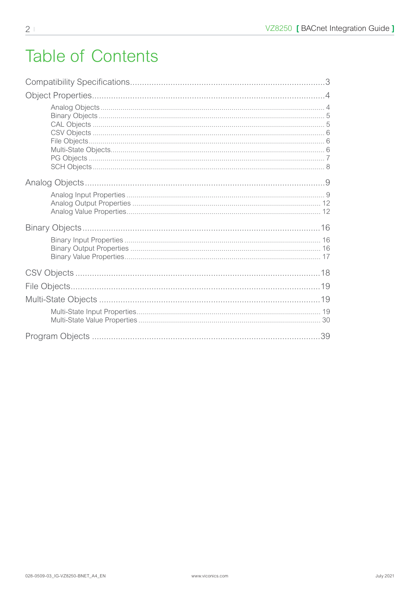# **Table of Contents**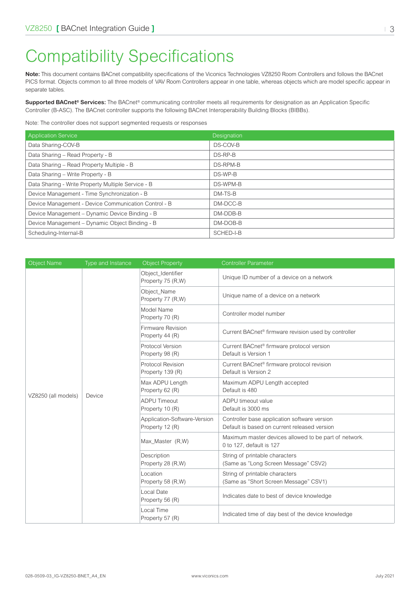# <span id="page-2-0"></span>Compatibility Specifications

**Note:** This document contains BACnet compatibility specifications of the Viconics Technologies VZ8250 Room Controllers and follows the BACnet PICS format. Objects common to all three models of VAV Room Controllers appear in one table, whereas objects which are model specific appear in separate tables.

**Supported BACnet® Services:** The BACnet® communicating controller meets all requirements for designation as an Application Specific Controller (B-ASC). The BACnet controller supports the following BACnet Interoperability Building Blocks (BIBBs).

Note: The controller does not support segmented requests or responses

| <b>Application Service</b>                           | Designation |
|------------------------------------------------------|-------------|
| Data Sharing-COV-B                                   | DS-COV-B    |
| Data Sharing - Read Property - B                     | DS-RP-B     |
| Data Sharing - Read Property Multiple - B            | DS-RPM-B    |
| Data Sharing - Write Property - B                    | DS-WP-B     |
| Data Sharing - Write Property Multiple Service - B   | DS-WPM-B    |
| Device Management - Time Synchronization - B         | DM-TS-B     |
| Device Management - Device Communication Control - B | DM-DCC-B    |
| Device Management - Dynamic Device Binding - B       | DM-DDB-B    |
| Device Management - Dynamic Object Binding - B       | DM-DOB-B    |
| Scheduling-Internal-B                                | SCHED-I-B   |

| <b>Object Name</b>  | Type and Instance | <b>Object Property</b>                          | <b>Controller Parameter</b>                                                                  |
|---------------------|-------------------|-------------------------------------------------|----------------------------------------------------------------------------------------------|
|                     |                   | Object Identifier<br>Property 75 (R,W)          | Unique ID number of a device on a network                                                    |
|                     |                   | Object Name<br>Property 77 (R,W)                | Unique name of a device on a network                                                         |
|                     |                   | Model Name<br>Property 70 (R)                   | Controller model number                                                                      |
|                     |                   | Firmware Revision<br>Property 44 (R)            | Current BACnet <sup>®</sup> firmware revision used by controller                             |
|                     |                   | Protocol Version<br>Property 98 (R)             | Current BACnet <sup>®</sup> firmware protocol version<br>Default is Version 1                |
|                     |                   | Protocol Revision<br>Property 139 (R)           | Current BACnet® firmware protocol revision<br>Default is Version 2                           |
|                     | Device            | Max ADPU Length<br>Property 62 (R)              | Maximum ADPU Length accepted<br>Default is 480                                               |
| VZ8250 (all models) |                   | <b>ADPU Timeout</b><br>Property 10 (R)          | ADPU timeout value<br>Default is 3000 ms                                                     |
|                     |                   | Application-Software-Version<br>Property 12 (R) | Controller base application software version<br>Default is based on current released version |
|                     |                   | Max_Master (R,W)                                | Maximum master devices allowed to be part of network.<br>0 to 127, default is 127            |
|                     |                   | Description<br>Property 28 (R,W)                | String of printable characters<br>(Same as "Long Screen Message" CSV2)                       |
|                     |                   | Location<br>Property 58 (R,W)                   | String of printable characters<br>(Same as "Short Screen Message" CSV1)                      |
|                     |                   | Local Date<br>Property 56 (R)                   | Indicates date to best of device knowledge                                                   |
|                     |                   | Local Time<br>Property 57 (R)                   | Indicated time of day best of the device knowledge                                           |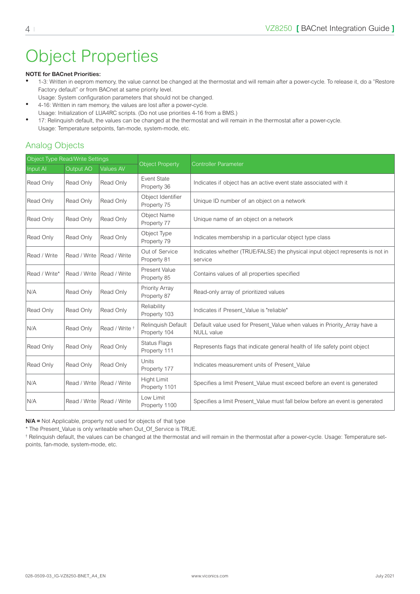# <span id="page-3-0"></span>Object Properties

#### **NOTE for BACnet Priorities:**

- 1-3: Written in eeprom memory, the value cannot be changed at the thermostat and will remain after a power-cycle. To release it, do a "Restore Factory default" or from BACnet at same priority level.
- Usage: System configuration parameters that should not be changed. • 4-16: Written in ram memory, the values are lost after a power-cycle.
- Usage: Initialization of LUA4RC scripts. (Do not use priorities 4-16 from a BMS.)
- 17: Relinquish default, the values can be changed at the thermostat and will remain in the thermostat after a power-cycle. Usage: Temperature setpoints, fan-mode, system-mode, etc.

#### Analog Objects

| Object Type Read/Write Settings |                  |                           |                                    |                                                                                                |
|---------------------------------|------------------|---------------------------|------------------------------------|------------------------------------------------------------------------------------------------|
| Input AI                        | <b>Output AO</b> | <b>Values AV</b>          | <b>Object Property</b>             | <b>Controller Parameter</b>                                                                    |
| Read Only                       | Read Only        | Read Only                 | Event State<br>Property 36         | Indicates if object has an active event state associated with it                               |
| Read Only                       | Read Only        | Read Only                 | Object Identifier<br>Property 75   | Unique ID number of an object on a network                                                     |
| Read Only                       | Read Only        | Read Only                 | Object Name<br>Property 77         | Unique name of an object on a network                                                          |
| Read Only                       | Read Only        | Read Only                 | Object Type<br>Property 79         | Indicates membership in a particular object type class                                         |
| Read / Write                    | Read / Write     | Read / Write              | Out of Service<br>Property 81      | Indicates whether (TRUE/FALSE) the physical input object represents is not in<br>service       |
| Read / Write*                   | Read / Write     | Read / Write              | Present Value<br>Property 85       | Contains values of all properties specified                                                    |
| N/A                             | Read Only        | Read Only                 | Priority Array<br>Property 87      | Read-only array of prioritized values                                                          |
| Read Only                       | Read Only        | Read Only                 | Reliability<br>Property 103        | Indicates if Present_Value is "reliable"                                                       |
| N/A                             | Read Only        | Read / Write <sup>+</sup> | Relinquish Default<br>Property 104 | Default value used for Present_Value when values in Priority_Array have a<br><b>NULL</b> value |
| Read Only                       | Read Only        | Read Only                 | Status Flags<br>Property 111       | Represents flags that indicate general health of life safety point object                      |
| Read Only                       | Read Only        | Read Only                 | Units<br>Property 177              | Indicates measurement units of Present Value                                                   |
| N/A                             | Read / Write     | Read / Write              | Hight Limit<br>Property 1101       | Specifies a limit Present_Value must exceed before an event is generated                       |
| N/A                             | Read / Write     | Read / Write              | Low Limit<br>Property 1100         | Specifies a limit Present_Value must fall below before an event is generated                   |

**N/A =** Not Applicable, property not used for objects of that type

\* The Present\_Value is only writeable when Out\_Of\_Service is TRUE.

† Relinquish default, the values can be changed at the thermostat and will remain in the thermostat after a power-cycle. Usage: Temperature setpoints, fan-mode, system-mode, etc.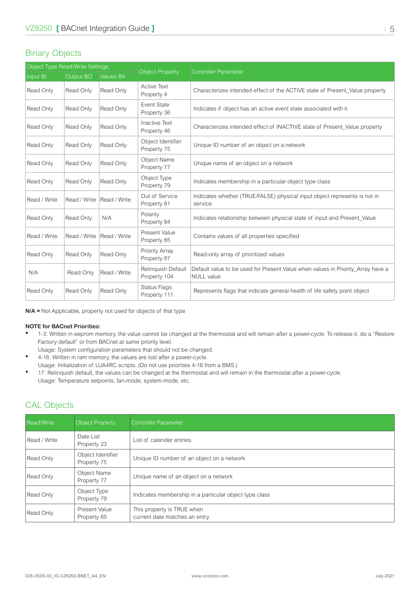#### <span id="page-4-0"></span>Binary Objects

| Object Type Read/Write Settings |              |                  |                                     |                                                                                                      |
|---------------------------------|--------------|------------------|-------------------------------------|------------------------------------------------------------------------------------------------------|
| <b>Input BI</b>                 | Output BO    | <b>Values BV</b> | <b>Object Property</b>              | <b>Controller Parameter</b>                                                                          |
| Read Only                       | Read Only    | Read Only        | <b>Active Text</b><br>Property 4    | Characterizes intended effect of the ACTIVE state of Present_Value property                          |
| Read Only                       | Read Only    | Read Only        | <b>Event State</b><br>Property 36   | Indicates if object has an active event state associated with it                                     |
| Read Only                       | Read Only    | Read Only        | <b>Inactive Text</b><br>Property 46 | Characterizes intended effect of INACTIVE state of Present_Value property                            |
| Read Only                       | Read Only    | Read Only        | Object Identifier<br>Property 75    | Unique ID number of an object on a network                                                           |
| Read Only                       | Read Only    | Read Only        | <b>Object Name</b><br>Property 77   | Unique name of an object on a network                                                                |
| Read Only                       | Read Only    | Read Only        | Object Type<br>Property 79          | Indicates membership in a particular object type class                                               |
| Read / Write                    | Read / Write | Read / Write     | Out of Service<br>Property 81       | Indicates whether (TRUE/FALSE) physical input object represents is not in<br>service                 |
| Read Only                       | Read Only    | N/A              | Polarity<br>Property 84             | Indicates relationship between physical state of input and Present_Value                             |
| Read / Write                    | Read / Write | Read / Write     | Present Value<br>Property 85        | Contains values of all properties specified                                                          |
| Read Only                       | Read Only    | Read Only        | Priority Array<br>Property 87       | Read-only array of prioritized values                                                                |
| N/A                             | Read Only    | Read / Write     | Relinquish Default<br>Property 104  | Default value to be used for Present Value when values in Priority_Array have a<br><b>NULL</b> value |
| Read Only                       | Read Only    | Read Only        | <b>Status Flags</b><br>Property 111 | Represents flags that indicate general health of life safety point object                            |

**N/A =** Not Applicable, property not used for objects of that type

#### **NOTE for BACnet Priorities:**

- 1-3: Written in eeprom memory, the value cannot be changed at the thermostat and will remain after a power-cycle. To release it, do a "Restore Factory default" or from BACnet at same priority level.
	- Usage: System configuration parameters that should not be changed.
- 4-16: Written in ram memory, the values are lost after a power-cycle. Usage: Initialization of LUA4RC scripts. (Do not use priorities 4-16 from a BMS.)
- 17: Relinquish default, the values can be changed at the thermostat and will remain in the thermostat after a power-cycle. Usage: Temperature setpoints, fan-mode, system-mode, etc.

#### CAL Objects

| <b>Read/Write</b> | <b>Object Property</b>           | Controller Parameter                                         |
|-------------------|----------------------------------|--------------------------------------------------------------|
| Read / Write      | Date List<br>Property 23         | List of calender entries.                                    |
| Read Only         | Object Identifier<br>Property 75 | Unique ID number of an object on a network                   |
| Read Only         | Object Name<br>Property 77       | Unique name of an object on a network                        |
| Read Only         | Object Type<br>Property 79       | Indicates membership in a particular object type class       |
| Read Only         | Present Value<br>Property 85     | This property is TRUE when<br>current date matches an entry. |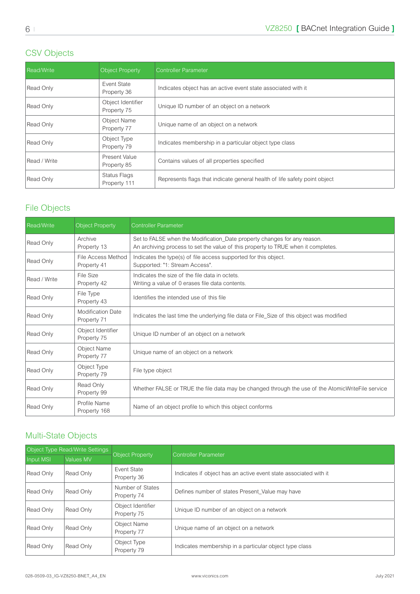#### <span id="page-5-0"></span>CSV Objects

| Read/Write   | <b>Object Property</b>           | <b>Controller Parameter</b>                                               |
|--------------|----------------------------------|---------------------------------------------------------------------------|
| Read Only    | Event State<br>Property 36       | Indicates object has an active event state associated with it             |
| Read Only    | Object Identifier<br>Property 75 | Unique ID number of an object on a network                                |
| Read Only    | Object Name<br>Property 77       | Unique name of an object on a network                                     |
| Read Only    | Object Type<br>Property 79       | Indicates membership in a particular object type class                    |
| Read / Write | Present Value<br>Property 85     | Contains values of all properties specified                               |
| Read Only    | Status Flags<br>Property 111     | Represents flags that indicate general health of life safety point object |

#### File Objects

| Read/Write   | <b>Object Property</b>                  | <b>Controller Parameter</b>                                                                                                                                   |
|--------------|-----------------------------------------|---------------------------------------------------------------------------------------------------------------------------------------------------------------|
| Read Only    | Archive<br>Property 13                  | Set to FALSE when the Modification_Date property changes for any reason.<br>An archiving process to set the value of this property to TRUE when it completes. |
| Read Only    | File Access Method<br>Property 41       | Indicates the type(s) of file access supported for this object.<br>Supported: "1: Stream Access".                                                             |
| Read / Write | File Size<br>Property 42                | Indicates the size of the file data in octets<br>Writing a value of 0 erases file data contents.                                                              |
| Read Only    | File Type<br>Property 43                | Identifies the intended use of this file                                                                                                                      |
| Read Only    | <b>Modification Date</b><br>Property 71 | Indicates the last time the underlying file data or File_Size of this object was modified                                                                     |
| Read Only    | Object Identifier<br>Property 75        | Unique ID number of an object on a network                                                                                                                    |
| Read Only    | Object Name<br>Property 77              | Unique name of an object on a network                                                                                                                         |
| Read Only    | Object Type<br>Property 79              | File type object                                                                                                                                              |
| Read Only    | Read Only<br>Property 99                | Whether FALSE or TRUE the file data may be changed through the use of the AtomicWriteFile service                                                             |
| Read Only    | Profile Name<br>Property 168            | Name of an object profile to which this object conforms                                                                                                       |

#### Multi-State Objects

| Object Type Read/Write Settings |           |                                  |                                                                  |  |
|---------------------------------|-----------|----------------------------------|------------------------------------------------------------------|--|
| Input MSI                       | Values MV | Object Property                  | Controller Parameter                                             |  |
| Read Only                       | Read Only | Event State<br>Property 36       | Indicates if object has an active event state associated with it |  |
| Read Only                       | Read Only | Number of States<br>Property 74  | Defines number of states Present_Value may have                  |  |
| Read Only                       | Read Only | Object Identifier<br>Property 75 | Unique ID number of an object on a network                       |  |
| Read Only                       | Read Only | Object Name<br>Property 77       | Unique name of an object on a network                            |  |
| Read Only                       | Read Only | Object Type<br>Property 79       | Indicates membership in a particular object type class           |  |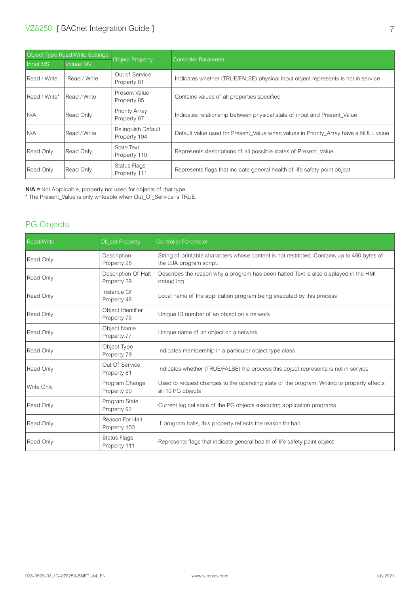<span id="page-6-0"></span>

| Object Type Read/Write Settings |              |                                           |                                                                                      |  |
|---------------------------------|--------------|-------------------------------------------|--------------------------------------------------------------------------------------|--|
| Input MSI                       | Values MV    | <b>Object Property</b>                    | <b>Controller Parameter</b>                                                          |  |
| Read / Write                    | Read / Write | Out of Service<br>Property 81             | Indicates whether (TRUE/FALSE) physical input object represents is not in service    |  |
| Read / Write*                   | Read / Write | Present Value<br>Property 85              | Contains values of all properties specified                                          |  |
| N/A                             | Read Only    | Priority Array<br>Property 87             | Indicates relationship between physical state of input and Present Value             |  |
| N/A                             | Read / Write | <b>Relinquish Default</b><br>Property 104 | Default value used for Present Value when values in Priority Array have a NULL value |  |
| Read Only                       | Read Only    | State Text<br>Property 110                | Represents descriptions of all possible states of Present Value                      |  |
| Read Only                       | Read Only    | Status Flags<br>Property 111              | Represents flags that indicate general health of life safety point object            |  |

**N/A =** Not Applicable, property not used for objects of that type

\* The Present\_Value is only writeable when Out\_Of\_Service is TRUE.

#### PG Objects

| <b>Read/Write</b> | <b>Object Property</b>             | <b>Controller Parameter</b>                                                                                            |
|-------------------|------------------------------------|------------------------------------------------------------------------------------------------------------------------|
| Read Only         | Description<br>Property 28         | String of printable characters whose content is not restricted. Contains up to 480 bytes of<br>the LUA program script. |
| Read Only         | Description Of Halt<br>Property 29 | Describes the reason why a program has been halted Text is also displayed in the HMI<br>debug log                      |
| Read Only         | Instance Of<br>Property 48         | Local name of the application program being executed by this process                                                   |
| Read Only         | Object Identifier<br>Property 75   | Unique ID number of an object on a network                                                                             |
| Read Only         | Object Name<br>Property 77         | Unique name of an object on a network                                                                                  |
| Read Only         | Object Type<br>Property 79         | Indicates membership in a particular object type class                                                                 |
| Read Only         | Out Of Service<br>Property 81      | Indicates whether (TRUE/FALSE) the process this object represents is not in service                                    |
| Write Only        | Program Change<br>Property 90      | Used to request changes to the operating state of the program. Writing to property affects<br>all 10 PG objects        |
| Read Only         | Program State<br>Property 92       | Current logical state of the PG objects executing application programs                                                 |
| Read Only         | Reason For Halt<br>Property 100    | If program halts, this property reflects the reason for halt                                                           |
| Read Only         | Status Flags<br>Property 111       | Represents flags that indicate general health of life safety point object                                              |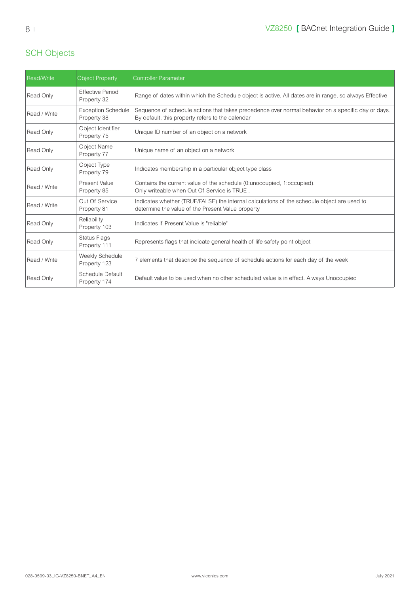#### <span id="page-7-0"></span>SCH Objects

| Read/Write   | <b>Object Property</b>                   | <b>Controller Parameter</b>                                                                                                                            |
|--------------|------------------------------------------|--------------------------------------------------------------------------------------------------------------------------------------------------------|
| Read Only    | <b>Effective Period</b><br>Property 32   | Range of dates within which the Schedule object is active. All dates are in range, so always Effective                                                 |
| Read / Write | <b>Exception Schedule</b><br>Property 38 | Sequence of schedule actions that takes precedence over normal behavior on a specific day or days.<br>By default, this property refers to the calendar |
| Read Only    | Object Identifier<br>Property 75         | Unique ID number of an object on a network                                                                                                             |
| Read Only    | <b>Object Name</b><br>Property 77        | Unique name of an object on a network                                                                                                                  |
| Read Only    | Object Type<br>Property 79               | Indicates membership in a particular object type class                                                                                                 |
| Read / Write | Present Value<br>Property 85             | Contains the current value of the schedule (0:unoccupied, 1:occupied).<br>Only writeable when Out Of Service is TRUE.                                  |
| Read / Write | Out Of Service<br>Property 81            | Indicates whether (TRUE/FALSE) the internal calculations of the schedule object are used to<br>determine the value of the Present Value property       |
| Read Only    | Reliability<br>Property 103              | Indicates if Present Value is "reliable"                                                                                                               |
| Read Only    | <b>Status Flags</b><br>Property 111      | Represents flags that indicate general health of life safety point object                                                                              |
| Read / Write | Weekly Schedule<br>Property 123          | 7 elements that describe the sequence of schedule actions for each day of the week                                                                     |
| Read Only    | Schedule Default<br>Property 174         | Default value to be used when no other scheduled value is in effect. Always Unoccupied                                                                 |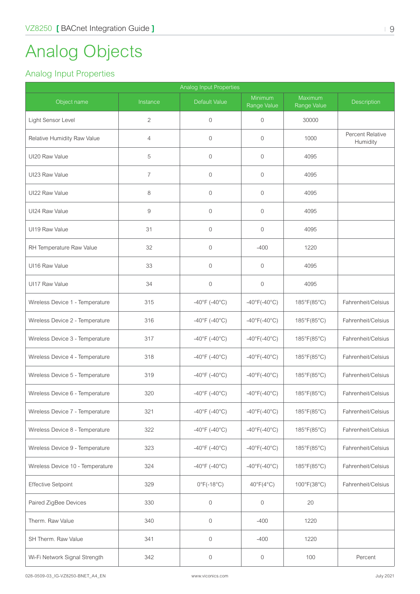# <span id="page-8-0"></span>Analog Objects

#### Analog Input Properties

| Analog Input Properties          |                |                         |                              |                        |                              |  |  |  |
|----------------------------------|----------------|-------------------------|------------------------------|------------------------|------------------------------|--|--|--|
| Object name                      | Instance       | Default Value           | Minimum<br>Range Value       | Maximum<br>Range Value | <b>Description</b>           |  |  |  |
| Light Sensor Level               | $\overline{2}$ | $\mathbf 0$             | $\overline{0}$               | 30000                  |                              |  |  |  |
| Relative Humidity Raw Value      | $\overline{4}$ | $\overline{0}$          | $\mathbf{0}$                 | 1000                   | Percent Relative<br>Humidity |  |  |  |
| UI20 Raw Value                   | 5              | $\mathbf{0}$            | $\mathbf{0}$                 | 4095                   |                              |  |  |  |
| UI23 Raw Value                   | 7              | $\mathbf 0$             | 0                            | 4095                   |                              |  |  |  |
| UI22 Raw Value                   | 8              | $\mathbf 0$             | $\mathbf{0}$                 | 4095                   |                              |  |  |  |
| UI24 Raw Value                   | $\hbox{9}$     | $\mathbf 0$             | $\mathbf 0$                  | 4095                   |                              |  |  |  |
| UI19 Raw Value                   | 31             | $\mathbf 0$             | $\mathbf 0$                  | 4095                   |                              |  |  |  |
| RH Temperature Raw Value         | 32             | $\overline{0}$          | $-400$                       | 1220                   |                              |  |  |  |
| UI16 Raw Value                   | 33             | $\overline{0}$          | $\mathbf{0}$                 | 4095                   |                              |  |  |  |
| UI17 Raw Value                   | 34             | $\mathbf 0$             | $\mathbf 0$                  | 4095                   |                              |  |  |  |
| Wireless Device 1 - Temperature  | 315            | $-40^{\circ}$ F (-40°C) | $-40^{\circ}F(-40^{\circ}C)$ | 185°F(85°C)            | Fahrenheit/Celsius           |  |  |  |
| Wireless Device 2 - Temperature  | 316            | $-40^{\circ}$ F (-40°C) | $-40^{\circ}F(-40^{\circ}C)$ | 185°F(85°C)            | Fahrenheit/Celsius           |  |  |  |
| Wireless Device 3 - Temperature  | 317            | $-40^{\circ}$ F (-40°C) | $-40^{\circ}F(-40^{\circ}C)$ | 185°F(85°C)            | Fahrenheit/Celsius           |  |  |  |
| Wireless Device 4 - Temperature  | 318            | $-40^{\circ}$ F (-40°C) | $-40^{\circ}F(-40^{\circ}C)$ | 185°F(85°C)            | Fahrenheit/Celsius           |  |  |  |
| Wireless Device 5 - Temperature  | 319            | $-40^{\circ}$ F (-40°C) | $-40^{\circ}F(-40^{\circ}C)$ | 185°F(85°C)            | Fahrenheit/Celsius           |  |  |  |
| Wireless Device 6 - Temperature  | 320            | $-40^{\circ}$ F (-40°C) | $-40^{\circ}F(-40^{\circ}C)$ | 185°F(85°C)            | Fahrenheit/Celsius           |  |  |  |
| Wireless Device 7 - Temperature  | 321            | $-40^{\circ}$ F (-40°C) | $-40^{\circ}F(-40^{\circ}C)$ | 185°F(85°C)            | Fahrenheit/Celsius           |  |  |  |
| Wireless Device 8 - Temperature  | 322            | $-40^{\circ}$ F (-40°C) | $-40^{\circ}F(-40^{\circ}C)$ | 185°F(85°C)            | Fahrenheit/Celsius           |  |  |  |
| Wireless Device 9 - Temperature  | 323            | $-40^{\circ}$ F (-40°C) | $-40^{\circ}F(-40^{\circ}C)$ | 185°F(85°C)            | Fahrenheit/Celsius           |  |  |  |
| Wireless Device 10 - Temperature | 324            | $-40^{\circ}$ F (-40°C) | $-40^{\circ}F(-40^{\circ}C)$ | 185°F(85°C)            | Fahrenheit/Celsius           |  |  |  |
| Effective Setpoint               | 329            | $0^{\circ}$ F(-18°C)    | $40^{\circ}F(4^{\circ}C)$    | 100°F(38°C)            | Fahrenheit/Celsius           |  |  |  |
| Paired ZigBee Devices            | 330            | 0                       | $\boldsymbol{0}$             | 20                     |                              |  |  |  |
| Therm. Raw Value                 | 340            | $\mathbf 0$             | $-400$                       | 1220                   |                              |  |  |  |
| SH Therm. Raw Value              | 341            | $\boldsymbol{0}$        | $-400$                       | 1220                   |                              |  |  |  |
| Wi-Fi Network Signal Strength    | 342            | 0                       | $\boldsymbol{0}$             | 100                    | Percent                      |  |  |  |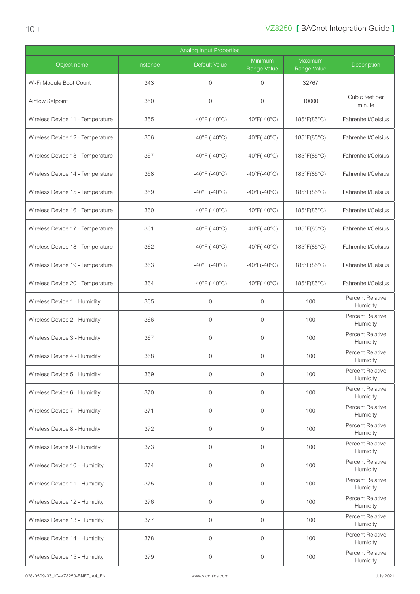| <b>Analog Input Properties</b>   |          |                         |                                   |                        |                                     |  |  |
|----------------------------------|----------|-------------------------|-----------------------------------|------------------------|-------------------------------------|--|--|
| Object name                      | Instance | Default Value           | <b>Minimum</b><br>Range Value     | Maximum<br>Range Value | <b>Description</b>                  |  |  |
| Wi-Fi Module Boot Count          | 343      | $\mathbf 0$             | 0                                 | 32767                  |                                     |  |  |
| Airflow Setpoint                 | 350      | $\overline{0}$          | $\mathbf{0}$                      | 10000                  | Cubic feet per<br>minute            |  |  |
| Wireless Device 11 - Temperature | 355      | $-40^{\circ}$ F (-40°C) | $-40^{\circ}$ F( $-40^{\circ}$ C) | 185°F(85°C)            | Fahrenheit/Celsius                  |  |  |
| Wireless Device 12 - Temperature | 356      | $-40^{\circ}$ F (-40°C) | $-40^{\circ}F(-40^{\circ}C)$      | 185°F(85°C)            | Fahrenheit/Celsius                  |  |  |
| Wireless Device 13 - Temperature | 357      | $-40^{\circ}$ F (-40°C) | $-40^{\circ}$ F( $-40^{\circ}$ C) | 185°F(85°C)            | Fahrenheit/Celsius                  |  |  |
| Wireless Device 14 - Temperature | 358      | $-40^{\circ}$ F (-40°C) | $-40^{\circ}$ F( $-40^{\circ}$ C) | 185°F(85°C)            | Fahrenheit/Celsius                  |  |  |
| Wireless Device 15 - Temperature | 359      | $-40^{\circ}$ F (-40°C) | $-40^{\circ}F(-40^{\circ}C)$      | 185°F(85°C)            | Fahrenheit/Celsius                  |  |  |
| Wireless Device 16 - Temperature | 360      | $-40^{\circ}$ F (-40°C) | $-40^{\circ}F(-40^{\circ}C)$      | 185°F(85°C)            | Fahrenheit/Celsius                  |  |  |
| Wireless Device 17 - Temperature | 361      | $-40^{\circ}$ F (-40°C) | $-40^{\circ}F(-40^{\circ}C)$      | 185°F(85°C)            | Fahrenheit/Celsius                  |  |  |
| Wireless Device 18 - Temperature | 362      | $-40^{\circ}$ F (-40°C) | $-40^{\circ}$ F( $-40^{\circ}$ C) | 185°F(85°C)            | Fahrenheit/Celsius                  |  |  |
| Wireless Device 19 - Temperature | 363      | $-40^{\circ}$ F (-40°C) | $-40^{\circ}F(-40^{\circ}C)$      | 185°F(85°C)            | Fahrenheit/Celsius                  |  |  |
| Wireless Device 20 - Temperature | 364      | $-40^{\circ}$ F (-40°C) | $-40^{\circ}F(-40^{\circ}C)$      | 185°F(85°C)            | Fahrenheit/Celsius                  |  |  |
| Wireless Device 1 - Humidity     | 365      | $\overline{0}$          | $\mathbf{0}$                      | 100                    | Percent Relative<br>Humidity        |  |  |
| Wireless Device 2 - Humidity     | 366      | $\overline{0}$          | 0                                 | 100                    | Percent Relative<br>Humidity        |  |  |
| Wireless Device 3 - Humidity     | 367      | $\mathbf 0$             | $\mathbf{0}$                      | 100                    | Percent Relative<br>Humidity        |  |  |
| Wireless Device 4 - Humidity     | 368      | $\mathbf 0$             | 0                                 | 100                    | <b>Percent Relative</b><br>Humidity |  |  |
| Wireless Device 5 - Humidity     | 369      | $\overline{0}$          | 0                                 | 100                    | <b>Percent Relative</b><br>Humidity |  |  |
| Wireless Device 6 - Humidity     | 370      | $\overline{0}$          | $\mathbf{0}$                      | 100                    | Percent Relative<br>Humidity        |  |  |
| Wireless Device 7 - Humidity     | 371      | $\mathbf{0}$            | 0                                 | 100                    | Percent Relative<br>Humidity        |  |  |
| Wireless Device 8 - Humidity     | 372      | $\mathbf{0}$            | 0                                 | 100                    | Percent Relative<br>Humidity        |  |  |
| Wireless Device 9 - Humidity     | 373      | $\mathbf 0$             | $\overline{0}$                    | 100                    | <b>Percent Relative</b><br>Humidity |  |  |
| Wireless Device 10 - Humidity    | 374      | $\mathbf 0$             | $\overline{0}$                    | 100                    | Percent Relative<br>Humidity        |  |  |
| Wireless Device 11 - Humidity    | 375      | $\mathbf{0}$            | 0                                 | 100                    | <b>Percent Relative</b><br>Humidity |  |  |
| Wireless Device 12 - Humidity    | 376      | $\mathbf{0}$            | $\overline{0}$                    | 100                    | <b>Percent Relative</b><br>Humidity |  |  |
| Wireless Device 13 - Humidity    | 377      | $\mathbf 0$             | $\mathbf{0}$                      | 100                    | Percent Relative<br>Humidity        |  |  |
| Wireless Device 14 - Humidity    | 378      | $\mathbf 0$             | $\mathbf 0$                       | 100                    | Percent Relative<br>Humidity        |  |  |
| Wireless Device 15 - Humidity    | 379      | $\mathbf 0$             | 0                                 | 100                    | Percent Relative<br>Humidity        |  |  |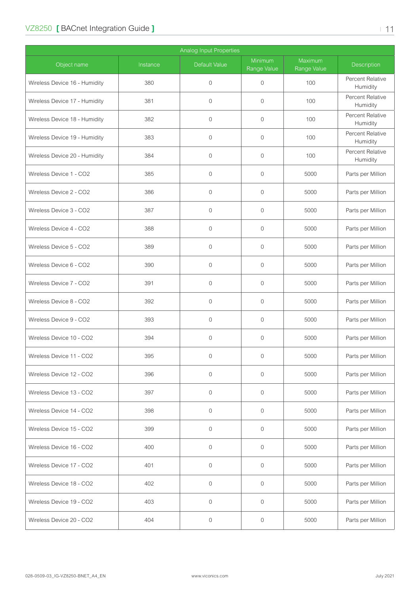| <b>Analog Input Properties</b> |          |                |                        |                               |                              |  |  |
|--------------------------------|----------|----------------|------------------------|-------------------------------|------------------------------|--|--|
| Object name                    | Instance | Default Value  | Minimum<br>Range Value | <b>Maximum</b><br>Range Value | Description                  |  |  |
| Wireless Device 16 - Humidity  | 380      | $\mathbf 0$    | $\mathbf{0}$           | 100                           | Percent Relative<br>Humidity |  |  |
| Wireless Device 17 - Humidity  | 381      | $\overline{0}$ | $\mathbf{0}$           | 100                           | Percent Relative<br>Humidity |  |  |
| Wireless Device 18 - Humidity  | 382      | $\overline{0}$ | $\mathbf{0}$           | 100                           | Percent Relative<br>Humidity |  |  |
| Wireless Device 19 - Humidity  | 383      | $\mathbf 0$    | $\mathbf 0$            | 100                           | Percent Relative<br>Humidity |  |  |
| Wireless Device 20 - Humidity  | 384      | $\mathbf 0$    | $\mathbf 0$            | 100                           | Percent Relative<br>Humidity |  |  |
| Wireless Device 1 - CO2        | 385      | $\overline{0}$ | $\mathbf{0}$           | 5000                          | Parts per Million            |  |  |
| Wireless Device 2 - CO2        | 386      | $\overline{0}$ | $\mathbf{0}$           | 5000                          | Parts per Million            |  |  |
| Wireless Device 3 - CO2        | 387      | $\overline{0}$ | $\overline{0}$         | 5000                          | Parts per Million            |  |  |
| Wireless Device 4 - CO2        | 388      | $\overline{0}$ | $\mathbf{0}$           | 5000                          | Parts per Million            |  |  |
| Wireless Device 5 - CO2        | 389      | $\overline{0}$ | $\mathbf{0}$           | 5000                          | Parts per Million            |  |  |
| Wireless Device 6 - CO2        | 390      | $\overline{0}$ | $\mathbf 0$            | 5000                          | Parts per Million            |  |  |
| Wireless Device 7 - CO2        | 391      | $\overline{0}$ | $\mathbf{0}$           | 5000                          | Parts per Million            |  |  |
| Wireless Device 8 - CO2        | 392      | $\overline{0}$ | $\overline{0}$         | 5000                          | Parts per Million            |  |  |
| Wireless Device 9 - CO2        | 393      | $\overline{0}$ | $\mathbf{0}$           | 5000                          | Parts per Million            |  |  |
| Wireless Device 10 - CO2       | 394      | $\mathbf 0$    | $\mathbf{0}$           | 5000                          | Parts per Million            |  |  |
| Wireless Device 11 - CO2       | 395      | $\overline{0}$ | $\mathbf 0$            | 5000                          | Parts per Million            |  |  |
| Wireless Device 12 - CO2       | 396      | $\mathbf 0$    | $\mathbf{0}$           | 5000                          | Parts per Million            |  |  |
| Wireless Device 13 - CO2       | 397      | $\mathbf{0}$   | $\mathbf 0$            | 5000                          | Parts per Million            |  |  |
| Wireless Device 14 - CO2       | 398      | $\overline{0}$ | $\mathbf 0$            | 5000                          | Parts per Million            |  |  |
| Wireless Device 15 - CO2       | 399      | $\mathbf 0$    | $\mathbf 0$            | 5000                          | Parts per Million            |  |  |
| Wireless Device 16 - CO2       | 400      | $\mathbf 0$    | $\mathbf{0}$           | 5000                          | Parts per Million            |  |  |
| Wireless Device 17 - CO2       | 401      | $\mathbf 0$    | $\mathbf 0$            | 5000                          | Parts per Million            |  |  |
| Wireless Device 18 - CO2       | 402      | $\overline{0}$ | $\mathbf{0}$           | 5000                          | Parts per Million            |  |  |
| Wireless Device 19 - CO2       | 403      | $\mathbf{0}$   | $\mathbf 0$            | 5000                          | Parts per Million            |  |  |
| Wireless Device 20 - CO2       | 404      | $\mathbf 0$    | 0                      | 5000                          | Parts per Million            |  |  |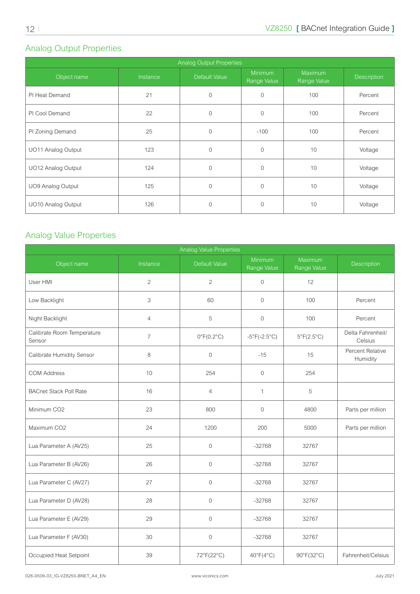## <span id="page-11-0"></span>Analog Output Properties

| Analog Output Properties |          |                |                        |                        |                    |  |  |  |
|--------------------------|----------|----------------|------------------------|------------------------|--------------------|--|--|--|
| Object name              | Instance | Default Value  | Minimum<br>Range Value | Maximum<br>Range Value | <b>Description</b> |  |  |  |
| PI Heat Demand           | 21       | $\overline{0}$ | $\mathbf{0}$           | 100                    | Percent            |  |  |  |
| PI Cool Demand           | 22       | $\mathbf{0}$   | $\mathbf{0}$           | 100                    | Percent            |  |  |  |
| PI Zoning Demand         | 25       | $\overline{0}$ | $-100$                 | 100                    | Percent            |  |  |  |
| UO11 Analog Output       | 123      | $\overline{0}$ | $\Omega$               | 10                     | Voltage            |  |  |  |
| UO12 Analog Output       | 124      | $\mathbf{0}$   | $\mathbf{0}$           | 10                     | Voltage            |  |  |  |
| <b>UO9 Analog Output</b> | 125      | $\overline{0}$ | $\Omega$               | 10                     | Voltage            |  |  |  |
| UO10 Analog Output       | 126      | $\overline{0}$ | $\mathbf{0}$           | 10                     | Voltage            |  |  |  |

#### Analog Value Properties

| Analog Value Properties              |                |                            |                              |                            |                              |  |  |  |
|--------------------------------------|----------------|----------------------------|------------------------------|----------------------------|------------------------------|--|--|--|
| Object name                          | Instance       | Default Value              | Minimum<br>Range Value       | Maximum<br>Range Value     | Description                  |  |  |  |
| User HMI                             | $\overline{2}$ | $\overline{2}$             | $\overline{0}$               | 12                         |                              |  |  |  |
| Low Backlight                        | 3              | 60                         | $\overline{0}$               | 100                        | Percent                      |  |  |  |
| Night Backlight                      | $\overline{4}$ | 5                          | $\overline{0}$               | 100                        | Percent                      |  |  |  |
| Calibrate Room Temperature<br>Sensor | $\overline{7}$ | $0^{\circ}F(0.2^{\circ}C)$ | $-5^{\circ}F(-2.5^{\circ}C)$ | $5^{\circ}F(2.5^{\circ}C)$ | Delta Fahrenheit/<br>Celsius |  |  |  |
| Calibrate Humidity Sensor            | 8              | $\mathbf{0}$               | $-15$                        | 15                         | Percent Relative<br>Humidity |  |  |  |
| <b>COM Address</b>                   | 10             | 254                        | $\overline{0}$               | 254                        |                              |  |  |  |
| <b>BACnet Stack Poll Rate</b>        | 16             | $\overline{4}$             | 1                            | 5                          |                              |  |  |  |
| Minimum CO2                          | 23             | 800                        | $\overline{0}$               | 4800                       | Parts per million            |  |  |  |
| Maximum CO2                          | 24             | 1200                       | 200                          | 5000                       | Parts per million            |  |  |  |
| Lua Parameter A (AV25)               | 25             | $\mathbf 0$                | $-32768$                     | 32767                      |                              |  |  |  |
| Lua Parameter B (AV26)               | 26             | $\mathbf{0}$               | $-32768$                     | 32767                      |                              |  |  |  |
| Lua Parameter C (AV27)               | 27             | $\mathbf{0}$               | $-32768$                     | 32767                      |                              |  |  |  |
| Lua Parameter D (AV28)               | 28             | $\Omega$                   | $-32768$                     | 32767                      |                              |  |  |  |
| Lua Parameter E (AV29)               | 29             | $\mathbf{0}$               | $-32768$                     | 32767                      |                              |  |  |  |
| Lua Parameter F (AV30)               | 30             | $\overline{0}$             | $-32768$                     | 32767                      |                              |  |  |  |
| Occupied Heat Setpoint               | 39             | 72°F(22°C)                 | $40^{\circ}F(4^{\circ}C)$    | 90°F(32°C)                 | Fahrenheit/Celsius           |  |  |  |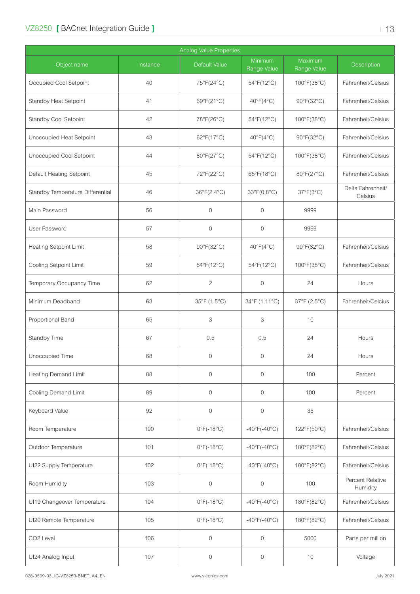| <b>Analog Value Properties</b>   |          |                                 |                                   |                        |                              |  |  |
|----------------------------------|----------|---------------------------------|-----------------------------------|------------------------|------------------------------|--|--|
| Object name                      | Instance | Default Value                   | Minimum<br>Range Value            | Maximum<br>Range Value | <b>Description</b>           |  |  |
| Occupied Cool Setpoint           | 40       | 75°F(24°C)                      | 54°F(12°C)                        | 100°F(38°C)            | Fahrenheit/Celsius           |  |  |
| Standby Heat Setpoint            | 41       | 69°F(21°C)                      | $40^{\circ}F(4^{\circ}C)$         | 90°F(32°C)             | Fahrenheit/Celsius           |  |  |
| Standby Cool Setpoint            | 42       | 78°F(26°C)                      | 54°F(12°C)                        | 100°F(38°C)            | Fahrenheit/Celsius           |  |  |
| Unoccupied Heat Setpoint         | 43       | 62°F(17°C)                      | $40^{\circ}F(4^{\circ}C)$         | 90°F(32°C)             | Fahrenheit/Celsius           |  |  |
| Unoccupied Cool Setpoint         | 44       | 80°F(27°C)                      | 54°F(12°C)                        | 100°F(38°C)            | Fahrenheit/Celsius           |  |  |
| Default Heating Setpoint         | 45       | 72°F(22°C)                      | 65°F(18°C)                        | 80°F(27°C)             | Fahrenheit/Celsius           |  |  |
| Standby Temperature Differential | 46       | 36°F(2.4°C)                     | 33°F(0.8°C)                       | 37°F(3°C)              | Delta Fahrenheit/<br>Celsius |  |  |
| Main Password                    | 56       | $\mathbf{0}$                    | 0                                 | 9999                   |                              |  |  |
| User Password                    | 57       | $\mathbf 0$                     | 0                                 | 9999                   |                              |  |  |
| Heating Setpoint Limit           | 58       | 90°F(32°C)                      | $40^{\circ}F(4^{\circ}C)$         | 90°F(32°C)             | Fahrenheit/Celsius           |  |  |
| Cooling Setpoint Limit           | 59       | 54°F(12°C)                      | 54°F(12°C)                        | 100°F(38°C)            | Fahrenheit/Celsius           |  |  |
| Temporary Occupancy Time         | 62       | $\overline{2}$                  | $\mathbf 0$                       | 24                     | Hours                        |  |  |
| Minimum Deadband                 | 63       | 35°F (1.5°C)                    | 34°F (1.11°C)                     | 37°F (2.5°C)           | Fahrenheit/Celcius           |  |  |
| Proportional Band                | 65       | 3                               | 3                                 | 10                     |                              |  |  |
| Standby Time                     | 67       | 0.5                             | 0.5                               | 24                     | Hours                        |  |  |
| Unoccupied Time                  | 68       | $\mathbf 0$                     | 0                                 | 24                     | Hours                        |  |  |
| <b>Heating Demand Limit</b>      | 88       | $\mathbf 0$                     | $\mathbf 0$                       | 100                    | Percent                      |  |  |
| <b>Cooling Demand Limit</b>      | 89       | $\mathbf{0}$                    | $\mathbf{0}$                      | 100                    | Percent                      |  |  |
| Keyboard Value                   | 92       | $\mathbf 0$                     | $\mathbf 0$                       | 35                     |                              |  |  |
| Room Temperature                 | 100      | $0^{\circ}$ F(-18°C)            | $-40^{\circ}$ F( $-40^{\circ}$ C) | 122°F(50°C)            | Fahrenheit/Celsius           |  |  |
| Outdoor Temperature              | 101      | $0^{\circ}$ F(-18 $^{\circ}$ C) | $-40^{\circ}$ F( $-40^{\circ}$ C) | 180°F(82°C)            | Fahrenheit/Celsius           |  |  |
| UI22 Supply Temperature          | 102      | $0^{\circ}$ F(-18°C)            | $-40^{\circ}$ F( $-40^{\circ}$ C) | 180°F(82°C)            | Fahrenheit/Celsius           |  |  |
| Room Humidity                    | 103      | $\mathbf 0$                     | $\mathbf 0$                       | 100                    | Percent Relative<br>Humidity |  |  |
| UI19 Changeover Temperature      | 104      | $0^{\circ}$ F(-18°C)            | $-40^{\circ}F(-40^{\circ}C)$      | 180°F(82°C)            | Fahrenheit/Celsius           |  |  |
| UI20 Remote Temperature          | 105      | $0^{\circ}$ F(-18°C)            | $-40^{\circ}F(-40^{\circ}C)$      | 180°F(82°C)            | Fahrenheit/Celsius           |  |  |
| CO <sub>2</sub> Level            | 106      | $\mathbf 0$                     | $\mathbf{0}$                      | 5000                   | Parts per million            |  |  |
| UI24 Analog Input                | 107      | $\mathbf 0$                     | $\mathbf 0$                       | 10                     | Voltage                      |  |  |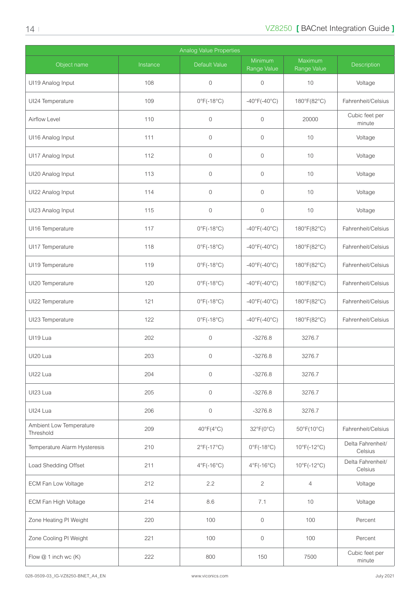| <b>Analog Value Properties</b>       |          |                                 |                                   |                            |                              |  |  |
|--------------------------------------|----------|---------------------------------|-----------------------------------|----------------------------|------------------------------|--|--|
| Object name                          | Instance | Default Value                   | Minimum<br>Range Value            | Maximum<br>Range Value     | Description                  |  |  |
| UI19 Analog Input                    | 108      | $\mathbf 0$                     | $\mathbf 0$                       | 10                         | Voltage                      |  |  |
| UI24 Temperature                     | 109      | $0^{\circ}$ F(-18°C)            | $-40^{\circ}F(-40^{\circ}C)$      | 180°F(82°C)                | Fahrenheit/Celsius           |  |  |
| Airflow Level                        | 110      | $\mathbf 0$                     | $\mathbf 0$                       | 20000                      | Cubic feet per<br>minute     |  |  |
| UI16 Analog Input                    | 111      | $\mathbf 0$                     | $\mathbf 0$                       | 10                         | Voltage                      |  |  |
| UI17 Analog Input                    | 112      | $\mathbf 0$                     | $\mathbf 0$                       | 10                         | Voltage                      |  |  |
| UI20 Analog Input                    | 113      | $\mathbf 0$                     | $\mathbf 0$                       | 10                         | Voltage                      |  |  |
| UI22 Analog Input                    | 114      | $\overline{0}$                  | $\overline{0}$                    | 10                         | Voltage                      |  |  |
| UI23 Analog Input                    | 115      | $\overline{0}$                  | $\mathbf 0$                       | 10                         | Voltage                      |  |  |
| UI16 Temperature                     | 117      | $0^{\circ}$ F(-18°C)            | $-40^{\circ}$ F( $-40^{\circ}$ C) | 180°F(82°C)                | Fahrenheit/Celsius           |  |  |
| UI17 Temperature                     | 118      | $0^{\circ}$ F(-18°C)            | $-40^{\circ}$ F( $-40^{\circ}$ C) | 180°F(82°C)                | Fahrenheit/Celsius           |  |  |
| UI19 Temperature                     | 119      | $0^{\circ}$ F(-18°C)            | $-40^{\circ}F(-40^{\circ}C)$      | 180°F(82°C)                | Fahrenheit/Celsius           |  |  |
| UI20 Temperature                     | 120      | $0^{\circ}F(-18^{\circ}C)$      | $-40^{\circ}F(-40^{\circ}C)$      | 180°F(82°C)                | Fahrenheit/Celsius           |  |  |
| UI22 Temperature                     | 121      | $0^{\circ}F(-18^{\circ}C)$      | $-40^{\circ}$ F( $-40^{\circ}$ C) | 180°F(82°C)                | Fahrenheit/Celsius           |  |  |
| UI23 Temperature                     | 122      | $0^{\circ}$ F(-18°C)            | $-40^{\circ}$ F( $-40^{\circ}$ C) | 180°F(82°C)                | Fahrenheit/Celsius           |  |  |
| UI19 Lua                             | 202      | $\mathbf 0$                     | $-3276.8$                         | 3276.7                     |                              |  |  |
| UI20 Lua                             | 203      | $\mathbf 0$                     | $-3276.8$                         | 3276.7                     |                              |  |  |
| UI22 Lua                             | 204      | $\overline{0}$                  | $-3276.8$                         | 3276.7                     |                              |  |  |
| UI23 Lua                             | 205      | $\overline{0}$                  | $-3276.8$                         | 3276.7                     |                              |  |  |
| UI24 Lua                             | 206      | $\overline{0}$                  | $-3276.8$                         | 3276.7                     |                              |  |  |
| Ambient Low Temperature<br>Threshold | 209      | $40^{\circ}F(4^{\circ}C)$       | $32^{\circ}F(0^{\circ}C)$         | $50^{\circ}F(10^{\circ}C)$ | Fahrenheit/Celsius           |  |  |
| Temperature Alarm Hysteresis         | 210      | $2^{\circ}F(-17^{\circ}C)$      | $0^{\circ}$ F(-18 $^{\circ}$ C)   | $10^{\circ}$ F(-12°C)      | Delta Fahrenheit/<br>Celsius |  |  |
| Load Shedding Offset                 | 211      | $4^{\circ}$ F(-16 $^{\circ}$ C) | $4^{\circ}$ F(-16 $^{\circ}$ C)   | $10^{\circ}$ F(-12°C)      | Delta Fahrenheit/<br>Celsius |  |  |
| ECM Fan Low Voltage                  | 212      | 2.2                             | 2                                 | $\overline{4}$             | Voltage                      |  |  |
| ECM Fan High Voltage                 | 214      | 8.6                             | 7.1                               | 10                         | Voltage                      |  |  |
| Zone Heating PI Weight               | 220      | 100                             | $\overline{0}$                    | 100                        | Percent                      |  |  |
| Zone Cooling PI Weight               | 221      | 100                             | $\mathbf 0$                       | 100                        | Percent                      |  |  |
| Flow @ 1 inch wc (K)                 | 222      | 800                             | 150                               | 7500                       | Cubic feet per<br>minute     |  |  |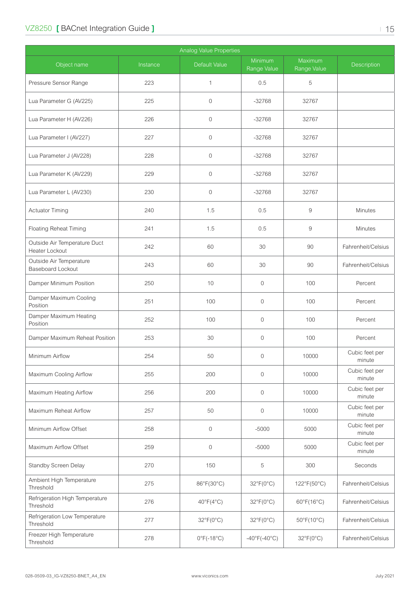|                                                |          | <b>Analog Value Properties</b> |                                   |                            |                          |
|------------------------------------------------|----------|--------------------------------|-----------------------------------|----------------------------|--------------------------|
| Object name                                    | Instance | Default Value                  | Minimum<br>Range Value            | Maximum<br>Range Value     | Description              |
| Pressure Sensor Range                          | 223      | 1                              | 0.5                               | 5                          |                          |
| Lua Parameter G (AV225)                        | 225      | $\mathbf 0$                    | $-32768$                          | 32767                      |                          |
| Lua Parameter H (AV226)                        | 226      | $\overline{0}$                 | $-32768$                          | 32767                      |                          |
| Lua Parameter I (AV227)                        | 227      | $\mathbf 0$                    | $-32768$                          | 32767                      |                          |
| Lua Parameter J (AV228)                        | 228      | $\mathbf 0$                    | $-32768$                          | 32767                      |                          |
| Lua Parameter K (AV229)                        | 229      | $\mathbf 0$                    | $-32768$                          | 32767                      |                          |
| Lua Parameter L (AV230)                        | 230      | 0                              | $-32768$                          | 32767                      |                          |
| <b>Actuator Timing</b>                         | 240      | 1.5                            | 0.5                               | 9                          | Minutes                  |
| <b>Floating Reheat Timing</b>                  | 241      | 1.5                            | 0.5                               | 9                          | <b>Minutes</b>           |
| Outside Air Temperature Duct<br>Heater Lockout | 242      | 60                             | 30                                | 90                         | Fahrenheit/Celsius       |
| Outside Air Temperature<br>Baseboard Lockout   | 243      | 60                             | 30                                | 90                         | Fahrenheit/Celsius       |
| Damper Minimum Position                        | 250      | 10                             | 0                                 | 100                        | Percent                  |
| Damper Maximum Cooling<br>Position             | 251      | 100                            | 0                                 | 100                        | Percent                  |
| Damper Maximum Heating<br>Position             | 252      | 100                            | 0                                 | 100                        | Percent                  |
| Damper Maximum Reheat Position                 | 253      | 30                             | 0                                 | 100                        | Percent                  |
| Minimum Airflow                                | 254      | 50                             | 0                                 | 10000                      | Cubic feet per<br>minute |
| Maximum Cooling Airflow                        | 255      | 200                            | 0                                 | 10000                      | Cubic feet per<br>minute |
| Maximum Heating Airflow                        | 256      | 200                            | $\boldsymbol{0}$                  | 10000                      | Cubic feet per<br>minute |
| Maximum Reheat Airflow                         | 257      | 50                             | 0                                 | 10000                      | Cubic feet per<br>minute |
| Minimum Airflow Offset                         | 258      | 0                              | $-5000$                           | 5000                       | Cubic feet per<br>minute |
| Maximum Airflow Offset                         | 259      | $\mathbf 0$                    | $-5000$                           | 5000                       | Cubic feet per<br>minute |
| Standby Screen Delay                           | 270      | 150                            | 5                                 | 300                        | Seconds                  |
| Ambient High Temperature<br>Threshold          | 275      | 86°F(30°C)                     | 32°F(0°C)                         | 122°F(50°C)                | Fahrenheit/Celsius       |
| Refrigeration High Temperature<br>Threshold    | 276      | $40^{\circ}F(4^{\circ}C)$      | 32°F(0°C)                         | $60^{\circ}F(16^{\circ}C)$ | Fahrenheit/Celsius       |
| Refrigeration Low Temperature<br>Threshold     | 277      | 32°F(0°C)                      | 32°F(0°C)                         | $50^{\circ}F(10^{\circ}C)$ | Fahrenheit/Celsius       |
| Freezer High Temperature<br>Threshold          | 278      | $0^{\circ}$ F(-18°C)           | $-40^{\circ}$ F( $-40^{\circ}$ C) | 32°F(0°C)                  | Fahrenheit/Celsius       |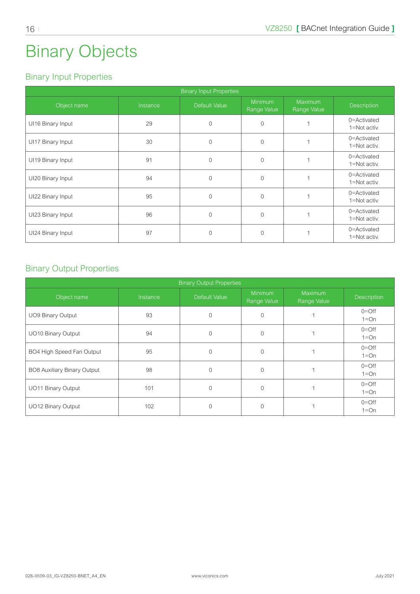# <span id="page-15-0"></span>Binary Objects

#### Binary Input Properties

| <b>Binary Input Properties</b> |          |                      |                               |                               |                             |  |  |
|--------------------------------|----------|----------------------|-------------------------------|-------------------------------|-----------------------------|--|--|
| Object name                    | Instance | <b>Default Value</b> | <b>Minimum</b><br>Range Value | <b>Maximum</b><br>Range Value | <b>Description</b>          |  |  |
| UI16 Binary Input              | 29       | $\overline{0}$       | $\Omega$                      |                               | 0=Activated<br>1=Not activ. |  |  |
| UI17 Binary Input              | 30       | $\overline{0}$       | $\Omega$                      |                               | 0=Activated<br>1=Not activ. |  |  |
| UI19 Binary Input              | 91       | $\overline{0}$       | $\overline{0}$                |                               | 0=Activated<br>1=Not activ. |  |  |
| UI20 Binary Input              | 94       | $\overline{0}$       | $\Omega$                      |                               | 0=Activated<br>1=Not activ. |  |  |
| UI22 Binary Input              | 95       | $\Omega$             | $\Omega$                      |                               | 0=Activated<br>1=Not activ. |  |  |
| UI23 Binary Input              | 96       | $\overline{0}$       | $\mathbf{0}$                  |                               | 0=Activated<br>1=Not activ. |  |  |
| UI24 Binary Input              | 97       | $\Omega$             | $\Omega$                      |                               | 0=Activated<br>1=Not activ. |  |  |

#### Binary Output Properties

| <b>Binary Output Properties</b> |          |                |                               |                               |                       |  |  |  |
|---------------------------------|----------|----------------|-------------------------------|-------------------------------|-----------------------|--|--|--|
| Object name                     | Instance | Default Value  | <b>Minimum</b><br>Range Value | <b>Maximum</b><br>Range Value | <b>Description</b>    |  |  |  |
| <b>UO9 Binary Output</b>        | 93       | $\Omega$       | $\Omega$                      |                               | $0 =$ Off<br>$1 = On$ |  |  |  |
| UO10 Binary Output              | 94       | $\Omega$       | $\Omega$                      |                               | $0 =$ Off<br>$1 = On$ |  |  |  |
| BO4 High Speed Fan Output       | 95       | $\Omega$       | $\Omega$                      |                               | $0 =$ Off<br>$1=On$   |  |  |  |
| BO8 Auxiliary Binary Output     | 98       | $\Omega$       | $\Omega$                      |                               | $0 =$ Off<br>$1=On$   |  |  |  |
| UO11 Binary Output              | 101      | $\overline{0}$ | $\Omega$                      |                               | $0 =$ Off<br>$1 = On$ |  |  |  |
| UO12 Binary Output              | 102      | $\Omega$       | $\Omega$                      |                               | $0 =$ Off<br>$1 = On$ |  |  |  |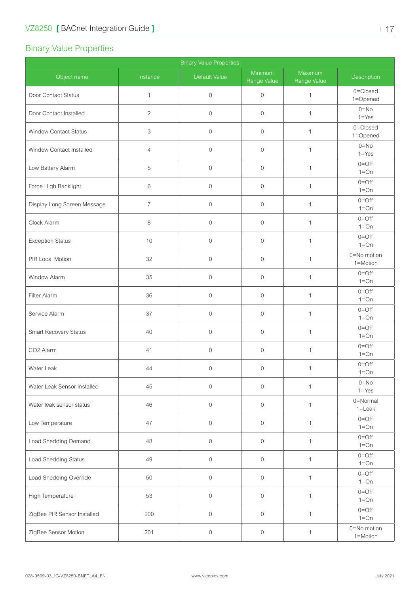## <span id="page-16-0"></span>Binary Value Properties

| <b>Binary Value Properties</b> |                |               |                        |                        |                         |  |  |
|--------------------------------|----------------|---------------|------------------------|------------------------|-------------------------|--|--|
| Object name                    | Instance       | Default Value | Minimum<br>Range Value | Maximum<br>Range Value | Description             |  |  |
| Door Contact Status            | $\mathbf{1}$   | $\mathbf 0$   | $\overline{0}$         | $\mathbf 1$            | 0=Closed<br>1=Opened    |  |  |
| Door Contact Installed         | $\mathbf{2}$   | $\mathbf 0$   | $\mathbf 0$            | $\mathbf{1}$           | $0 = No$<br>$1 = Yes$   |  |  |
| <b>Window Contact Status</b>   | 3              | $\mathbf 0$   | $\mathbf 0$            | $\mathbf{1}$           | 0=Closed<br>1=Opened    |  |  |
| Window Contact Installed       | $\overline{4}$ | $\mathbf{0}$  | $\overline{0}$         | $\mathbf{1}$           | $0 = No$<br>$1 = Yes$   |  |  |
| Low Battery Alarm              | 5              | $\mathbf{0}$  | $\mathbf 0$            | $\mathbf{1}$           | $0 =$ Off<br>$1=On$     |  |  |
| Force High Backlight           | 6              | $\mathbf 0$   | $\mathbf 0$            | $\mathbf{1}$           | $0 =$ Off<br>$1=On$     |  |  |
| Display Long Screen Message    | $\overline{7}$ | $\mathbf 0$   | $\mathbf 0$            | $\mathbf{1}$           | $0 =$ Off<br>$1=On$     |  |  |
| Clock Alarm                    | 8              | $\mathbf{0}$  | $\mathbf 0$            | $\mathbf{1}$           | $0 =$ Off<br>$1=On$     |  |  |
| <b>Exception Status</b>        | 10             | $\mathbf{0}$  | $\overline{0}$         | $\mathbf{1}$           | $0 =$ Off<br>$1 = On$   |  |  |
| PIR Local Motion               | 32             | $\mathbf{0}$  | $\mathbf{0}$           | $\mathbf{1}$           | 0=No motion<br>1=Motion |  |  |
| Window Alarm                   | 35             | $\mathbf{0}$  | $\mathbf 0$            | $\mathbf{1}$           | $0=Off$<br>$1=On$       |  |  |
| Filter Alarm                   | 36             | $\mathbf 0$   | $\overline{0}$         | $\mathbf{1}$           | $0 =$ Off<br>$1 = On$   |  |  |
| Service Alarm                  | 37             | $\mathbf{0}$  | $\mathbf 0$            | $\mathbf{1}$           | $0 =$ Off<br>$1=On$     |  |  |
| Smart Recovery Status          | 40             | $\mathbf 0$   | $\mathbf 0$            | $\mathbf{1}$           | $0 =$ Off<br>$1 = On$   |  |  |
| CO2 Alarm                      | 41             | $\mathbf{0}$  | $\mathbf 0$            | $\mathbf{1}$           | $0 =$ Off<br>$1 = On$   |  |  |
| Water Leak                     | 44             | $\mathbf 0$   | $\mathbf 0$            | $\mathbf{1}$           | $0 =$ Off<br>$1=On$     |  |  |
| Water Leak Sensor Installed    | 45             | $\mathbf 0$   | $\mathbf 0$            | $\mathbf{1}$           | $0 = No$<br>$1 = Yes$   |  |  |
| Water leak sensor status       | 46             | $\mathbf 0$   | $\mathbf 0$            | $\mathbf{1}$           | 0=Normal<br>$1 =$ Leak  |  |  |
| Low Temperature                | 47             | $\mathbf 0$   | $\mathbf 0$            | $\mathbf{1}$           | $0 =$ Off<br>$1 = On$   |  |  |
| Load Shedding Demand           | 48             | $\mathbf 0$   | $\mathbf 0$            | $\mathbf{1}$           | $0 =$ Off<br>$1 = On$   |  |  |
| Load Shedding Status           | 49             | $\mathbf 0$   | $\overline{0}$         | $\mathbf{1}$           | $0 =$ Off<br>$1=On$     |  |  |
| Load Shedding Override         | 50             | $\mathbf 0$   | $\boldsymbol{0}$       | $\mathbf{1}$           | $0 =$ Off<br>$1 = On$   |  |  |
| High Temperature               | 53             | $\mathbf 0$   | $\mathbf 0$            | $\mathbf{1}$           | $0 =$ Off<br>$1=On$     |  |  |
| ZigBee PIR Sensor Installed    | 200            | $\mathbf 0$   | $\boldsymbol{0}$       | $\mathbf{1}$           | $0 =$ Off<br>$1 = On$   |  |  |
| ZigBee Sensor Motion           | 201            | $\,0\,$       | $\boldsymbol{0}$       | $\mathbf{1}$           | 0=No motion<br>1=Motion |  |  |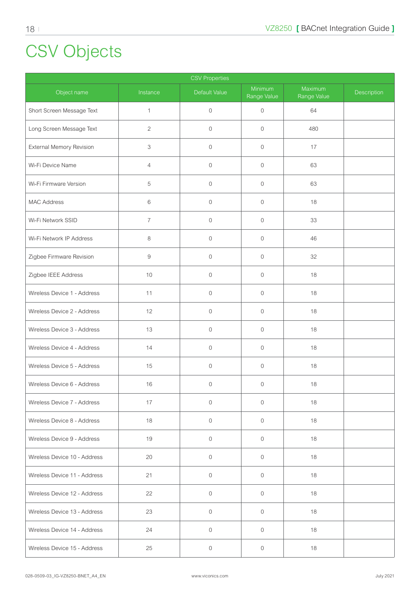# <span id="page-17-0"></span>CSV Objects

| <b>CSV Properties</b>        |                |               |                        |                        |             |  |  |  |
|------------------------------|----------------|---------------|------------------------|------------------------|-------------|--|--|--|
| Object name                  | Instance       | Default Value | Minimum<br>Range Value | Maximum<br>Range Value | Description |  |  |  |
| Short Screen Message Text    | $\mathbf{1}$   | $\mathbf 0$   | $\mathbf 0$            | 64                     |             |  |  |  |
| Long Screen Message Text     | $\overline{c}$ | $\mathbf{0}$  | $\overline{0}$         | 480                    |             |  |  |  |
| External Memory Revision     | 3              | $\mathbf{0}$  | $\mathbf{0}$           | 17                     |             |  |  |  |
| Wi-Fi Device Name            | 4              | $\mathbf{0}$  | $\mathbf 0$            | 63                     |             |  |  |  |
| Wi-Fi Firmware Version       | 5              | $\mathbf 0$   | $\mathbf 0$            | 63                     |             |  |  |  |
| <b>MAC Address</b>           | 6              | $\mathbf 0$   | $\mathbf 0$            | 18                     |             |  |  |  |
| Wi-Fi Network SSID           | $\overline{7}$ | $\mathbf 0$   | $\mathbf 0$            | 33                     |             |  |  |  |
| Wi-Fi Network IP Address     | 8              | $\mathbf 0$   | $\mathbf 0$            | 46                     |             |  |  |  |
| Zigbee Firmware Revision     | 9              | $\mathbf 0$   | $\mathbf 0$            | 32                     |             |  |  |  |
| Zigbee IEEE Address          | 10             | $\mathbf{0}$  | $\mathbf{0}$           | 18                     |             |  |  |  |
| Wireless Device 1 - Address  | 11             | $\mathbf 0$   | $\mathbf 0$            | 18                     |             |  |  |  |
| Wireless Device 2 - Address  | 12             | $\mathbf 0$   | $\mathbf 0$            | 18                     |             |  |  |  |
| Wireless Device 3 - Address  | 13             | $\mathbf 0$   | $\mathbf 0$            | 18                     |             |  |  |  |
| Wireless Device 4 - Address  | 14             | $\mathbf 0$   | $\mathbf 0$            | 18                     |             |  |  |  |
| Wireless Device 5 - Address  | 15             | $\mathbf 0$   | $\overline{0}$         | 18                     |             |  |  |  |
| Wireless Device 6 - Address  | 16             | $\mathbf 0$   | $\mathbf 0$            | 18                     |             |  |  |  |
| Wireless Device 7 - Address  | 17             | $\mathbf 0$   | $\mathbf 0$            | 18                     |             |  |  |  |
| Wireless Device 8 - Address  | 18             | $\mathbf 0$   | $\overline{0}$         | 18                     |             |  |  |  |
| Wireless Device 9 - Address  | 19             | $\mathbf{0}$  | $\overline{0}$         | 18                     |             |  |  |  |
| Wireless Device 10 - Address | 20             | $\mathbf 0$   | $\overline{0}$         | 18                     |             |  |  |  |
| Wireless Device 11 - Address | 21             | $\mathbf 0$   | $\mathbf 0$            | 18                     |             |  |  |  |
| Wireless Device 12 - Address | 22             | $\mathbf 0$   | $\mathbf 0$            | 18                     |             |  |  |  |
| Wireless Device 13 - Address | 23             | $\mathbb O$   | $\overline{0}$         | 18                     |             |  |  |  |
| Wireless Device 14 - Address | 24             | $\mathbb O$   | $\overline{0}$         | 18                     |             |  |  |  |
| Wireless Device 15 - Address | 25             | $\mathbf 0$   | $\mathsf{O}\xspace$    | 18                     |             |  |  |  |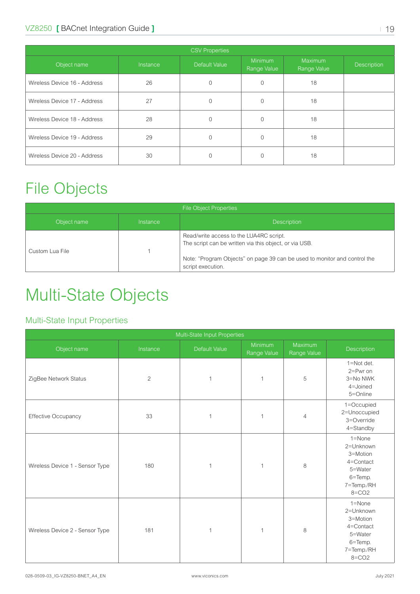<span id="page-18-0"></span>

| <b>CSV Properties</b>        |          |               |                        |                        |                    |  |  |
|------------------------------|----------|---------------|------------------------|------------------------|--------------------|--|--|
| Object name                  | Instance | Default Value | Minimum<br>Range Value | Maximum<br>Range Value | <b>Description</b> |  |  |
| Wireless Device 16 - Address | 26       | $\Omega$      | $\Omega$               | 18                     |                    |  |  |
| Wireless Device 17 - Address | 27       | $\Omega$      | 0                      | 18                     |                    |  |  |
| Wireless Device 18 - Address | 28       | $\Omega$      | $\Omega$               | 18                     |                    |  |  |
| Wireless Device 19 - Address | 29       | 0             | 0                      | 18                     |                    |  |  |
| Wireless Device 20 - Address | 30       | 0             | O                      | 18                     |                    |  |  |

## File Objects

| <b>File Object Properties</b> |          |                                                                                                                                                                                                     |  |  |  |
|-------------------------------|----------|-----------------------------------------------------------------------------------------------------------------------------------------------------------------------------------------------------|--|--|--|
| Object name                   | Instance | <b>Description</b>                                                                                                                                                                                  |  |  |  |
| Custom Lua File               |          | Read/write access to the LUA4RC script.<br>The script can be written via this object, or via USB.<br>Note: "Program Objects" on page 39 can be used to monitor and control the<br>script execution. |  |  |  |

# Multi-State Objects

#### Multi-State Input Properties

| Multi-State Input Properties    |                |               |                        |                        |                                                                                                   |
|---------------------------------|----------------|---------------|------------------------|------------------------|---------------------------------------------------------------------------------------------------|
| Object name                     | Instance       | Default Value | Minimum<br>Range Value | Maximum<br>Range Value | <b>Description</b>                                                                                |
| ZigBee Network Status           | $\overline{2}$ | 1             | 1                      | 5                      | 1=Not det.<br>$2 = Pwr on$<br>3=No NWK<br>4=Joined<br>5=Online                                    |
| Effective Occupancy             | 33             | 1             | 1                      | $\overline{4}$         | 1=Occupied<br>2=Unoccupied<br>3=Override<br>4=Standby                                             |
| Wireless Device 1 - Sensor Type | 180            | 1             | 1                      | 8                      | $1 =$ None<br>2=Unknown<br>3=Motion<br>4=Contact<br>5=Water<br>6=Temp.<br>7=Temp./RH<br>$8 = CO2$ |
| Wireless Device 2 - Sensor Type | 181            | $\mathbf{1}$  | 1                      | 8                      | $1 =$ None<br>2=Unknown<br>3=Motion<br>4=Contact<br>5=Water<br>6=Temp.<br>7=Temp./RH<br>$8 = CO2$ |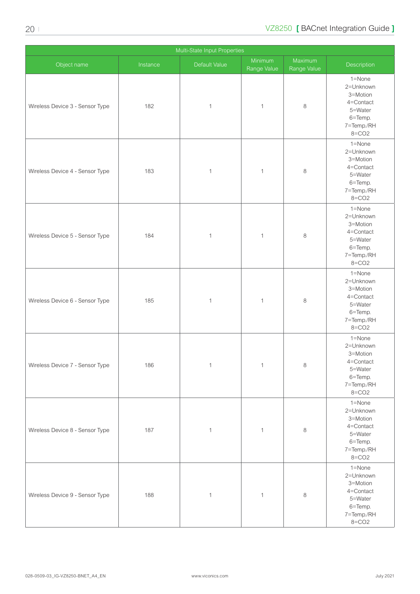|                                 | Multi-State Input Properties |               |                        |                        |                                                                                                   |  |  |
|---------------------------------|------------------------------|---------------|------------------------|------------------------|---------------------------------------------------------------------------------------------------|--|--|
| Object name                     | Instance                     | Default Value | Minimum<br>Range Value | Maximum<br>Range Value | Description                                                                                       |  |  |
| Wireless Device 3 - Sensor Type | 182                          | $\mathbf{1}$  | $\mathbf{1}$           | $\,8\,$                | $1 =$ None<br>2=Unknown<br>3=Motion<br>4=Contact<br>5=Water<br>6=Temp.<br>7=Temp./RH<br>$8 = CO2$ |  |  |
| Wireless Device 4 - Sensor Type | 183                          | $\mathbf{1}$  | $\mathbf{1}$           | 8                      | 1=None<br>2=Unknown<br>3=Motion<br>4=Contact<br>5=Water<br>6=Temp.<br>7=Temp./RH<br>$8 = CO2$     |  |  |
| Wireless Device 5 - Sensor Type | 184                          | $\mathbf{1}$  | $\mathbf{1}$           | 8                      | 1=None<br>2=Unknown<br>3=Motion<br>4=Contact<br>5=Water<br>6=Temp.<br>7=Temp./RH<br>$8 = CO2$     |  |  |
| Wireless Device 6 - Sensor Type | 185                          | $\mathbf{1}$  | $\mathbf{1}$           | $\,8\,$                | 1=None<br>2=Unknown<br>3=Motion<br>4=Contact<br>5=Water<br>6=Temp.<br>7=Temp./RH<br>$8 = CO2$     |  |  |
| Wireless Device 7 - Sensor Type | 186                          | $\mathbf{1}$  | $\mathbf{1}$           | $\,8\,$                | 1=None<br>2=Unknown<br>3=Motion<br>4=Contact<br>5=Water<br>6=Temp.<br>7=Temp./RH<br>$8 = CO2$     |  |  |
| Wireless Device 8 - Sensor Type | 187                          | $\mathbf{1}$  | $\mathbf{1}$           | 8                      | 1=None<br>2=Unknown<br>3=Motion<br>4=Contact<br>5=Water<br>6=Temp.<br>7=Temp./RH<br>$8 = CO2$     |  |  |
| Wireless Device 9 - Sensor Type | 188                          | $\mathbf{1}$  | $\mathbf{1}$           | 8                      | 1=None<br>2=Unknown<br>3=Motion<br>4=Contact<br>5=Water<br>6=Temp.<br>7=Temp./RH<br>$8 = CO2$     |  |  |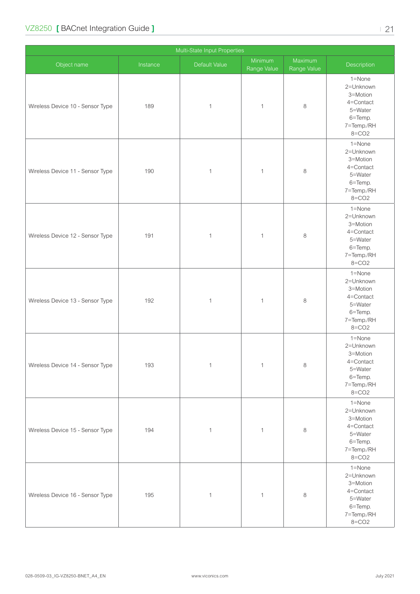| Multi-State Input Properties     |          |               |                        |                        |                                                                                                   |  |
|----------------------------------|----------|---------------|------------------------|------------------------|---------------------------------------------------------------------------------------------------|--|
| Object name                      | Instance | Default Value | Minimum<br>Range Value | Maximum<br>Range Value | Description                                                                                       |  |
| Wireless Device 10 - Sensor Type | 189      | $\mathbf{1}$  | $\mathbf 1$            | $\,8\,$                | 1=None<br>2=Unknown<br>3=Motion<br>4=Contact<br>5=Water<br>6=Temp.<br>7=Temp./RH<br>$8 = CO2$     |  |
| Wireless Device 11 - Sensor Type | 190      | $\mathbf{1}$  | $\mathbf 1$            | $\,8\,$                | $1 =$ None<br>2=Unknown<br>3=Motion<br>4=Contact<br>5=Water<br>6=Temp.<br>7=Temp./RH<br>$8 = CO2$ |  |
| Wireless Device 12 - Sensor Type | 191      | $\mathbf{1}$  | $\mathbf 1$            | $\,8\,$                | 1=None<br>2=Unknown<br>3=Motion<br>4=Contact<br>5=Water<br>6=Temp.<br>7=Temp./RH<br>$8 = CO2$     |  |
| Wireless Device 13 - Sensor Type | 192      | $\mathbf{1}$  | 1                      | $\,8\,$                | 1=None<br>2=Unknown<br>3=Motion<br>4=Contact<br>5=Water<br>6=Temp.<br>7=Temp./RH<br>$8 = CO2$     |  |
| Wireless Device 14 - Sensor Type | 193      | $\mathbbm{1}$ | $\mathbf{1}$           | $\,8\,$                | 1=None<br>2=Unknown<br>3=Motion<br>4=Contact<br>5=Water<br>6=Temp.<br>7=Temp./RH<br>$8 = CO2$     |  |
| Wireless Device 15 - Sensor Type | 194      | $\mathbf{1}$  | $\mathbf{1}$           | $\,8\,$                | 1=None<br>2=Unknown<br>3=Motion<br>4=Contact<br>5=Water<br>6=Temp.<br>7=Temp./RH<br>$8 = CO2$     |  |
| Wireless Device 16 - Sensor Type | 195      | $\mathbf{1}$  | $\mathbf{1}$           | $\,8\,$                | 1=None<br>2=Unknown<br>3=Motion<br>4=Contact<br>5=Water<br>6=Temp.<br>7=Temp./RH<br>$8 = CO2$     |  |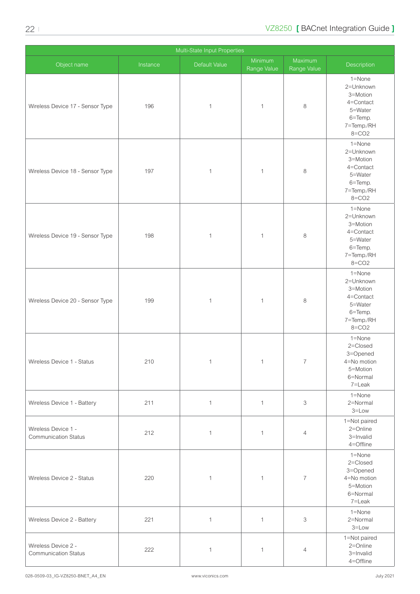| Multi-State Input Properties                       |          |               |                        |                        |                                                                                               |  |
|----------------------------------------------------|----------|---------------|------------------------|------------------------|-----------------------------------------------------------------------------------------------|--|
| Object name                                        | Instance | Default Value | Minimum<br>Range Value | Maximum<br>Range Value | Description                                                                                   |  |
| Wireless Device 17 - Sensor Type                   | 196      | $\mathbf{1}$  | $\mathbf{1}$           | 8                      | 1=None<br>2=Unknown<br>3=Motion<br>4=Contact<br>5=Water<br>6=Temp.<br>7=Temp./RH<br>$8 = CO2$ |  |
| Wireless Device 18 - Sensor Type                   | 197      | $\mathbf{1}$  | $\mathbf{1}$           | 8                      | 1=None<br>2=Unknown<br>3=Motion<br>4=Contact<br>5=Water<br>6=Temp.<br>7=Temp./RH<br>$8 = CO2$ |  |
| Wireless Device 19 - Sensor Type                   | 198      | $\mathbf{1}$  | $\mathbf{1}$           | 8                      | 1=None<br>2=Unknown<br>3=Motion<br>4=Contact<br>5=Water<br>6=Temp.<br>7=Temp./RH<br>$8 = CO2$ |  |
| Wireless Device 20 - Sensor Type                   | 199      | $\mathbf{1}$  | $\mathbf{1}$           | 8                      | 1=None<br>2=Unknown<br>3=Motion<br>4=Contact<br>5=Water<br>6=Temp.<br>7=Temp./RH<br>$8 = CO2$ |  |
| Wireless Device 1 - Status                         | 210      | 1             | 1                      | $\sqrt{2}$             | 1=None<br>2=Closed<br>3=Opened<br>4=No motion<br>5=Motion<br>6=Normal<br>7=Leak               |  |
| Wireless Device 1 - Battery                        | 211      | $\mathbf{1}$  | $\mathbf{1}$           | 3                      | 1=None<br>2=Normal<br>$3 = Low$                                                               |  |
| Wireless Device 1 -<br><b>Communication Status</b> | 212      | $\mathbf{1}$  | $\mathbf{1}$           | $\overline{4}$         | 1=Not paired<br>2=Online<br>3=Invalid<br>4=Offline                                            |  |
| Wireless Device 2 - Status                         | 220      | $\mathbf{1}$  | $\mathbf{1}$           | $\overline{7}$         | 1=None<br>2=Closed<br>3=Opened<br>4=No motion<br>5=Motion<br>6=Normal<br>7=Leak               |  |
| Wireless Device 2 - Battery                        | 221      | $\mathbf{1}$  | $\mathbf{1}$           | 3                      | 1=None<br>2=Normal<br>$3 = Low$                                                               |  |
| Wireless Device 2 -<br><b>Communication Status</b> | 222      | $\mathbf{1}$  | $\mathbf{1}$           | 4                      | 1=Not paired<br>2=Online<br>3=Invalid<br>4=Offline                                            |  |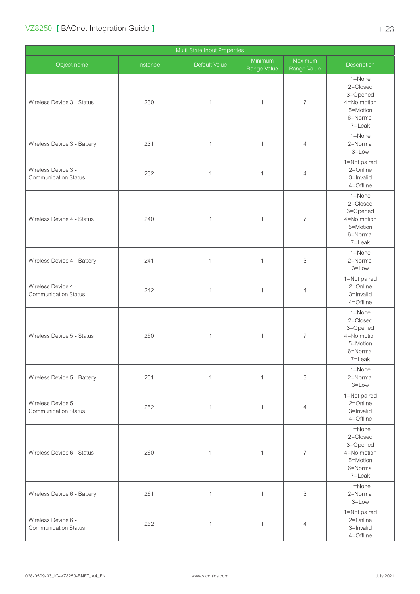|                                                    | Multi-State Input Properties |               |                        |                        |                                                                                 |  |  |
|----------------------------------------------------|------------------------------|---------------|------------------------|------------------------|---------------------------------------------------------------------------------|--|--|
| Object name                                        | Instance                     | Default Value | Minimum<br>Range Value | Maximum<br>Range Value | Description                                                                     |  |  |
| Wireless Device 3 - Status                         | 230                          | $\mathbf{1}$  | $\mathbf{1}$           | $\overline{7}$         | 1=None<br>2=Closed<br>3=Opened<br>4=No motion<br>5=Motion<br>6=Normal<br>7=Leak |  |  |
| Wireless Device 3 - Battery                        | 231                          | $\mathbf{1}$  | $\mathbf{1}$           | $\overline{4}$         | 1=None<br>2=Normal<br>$3 = Low$                                                 |  |  |
| Wireless Device 3 -<br><b>Communication Status</b> | 232                          | $\mathbf{1}$  | $\mathbf{1}$           | 4                      | 1=Not paired<br>2=Online<br>3=Invalid<br>4=Offline                              |  |  |
| Wireless Device 4 - Status                         | 240                          | $\mathbf{1}$  | $\mathbf{1}$           | 7                      | 1=None<br>2=Closed<br>3=Opened<br>4=No motion<br>5=Motion<br>6=Normal<br>7=Leak |  |  |
| Wireless Device 4 - Battery                        | 241                          | $\mathbf{1}$  | $\mathbf{1}$           | 3                      | 1=None<br>2=Normal<br>$3 = Low$                                                 |  |  |
| Wireless Device 4 -<br><b>Communication Status</b> | 242                          | $\mathbf{1}$  | $\mathbf{1}$           | $\overline{4}$         | 1=Not paired<br>2=Online<br>3=Invalid<br>4=Offline                              |  |  |
| Wireless Device 5 - Status                         | 250                          | $\mathbf{1}$  | $\mathbf{1}$           | 7                      | 1=None<br>2=Closed<br>3=Opened<br>4=No motion<br>5=Motion<br>6=Normal<br>7=Leak |  |  |
| Wireless Device 5 - Battery                        | 251                          | $\mathbf{1}$  | $\mathbf{1}$           | 3                      | 1=None<br>2=Normal<br>$3 = Low$                                                 |  |  |
| Wireless Device 5 -<br><b>Communication Status</b> | 252                          | $\mathbf{1}$  | $\mathbf{1}$           | $\overline{4}$         | 1=Not paired<br>2=Online<br>3=Invalid<br>4=Offline                              |  |  |
| Wireless Device 6 - Status                         | 260                          | $\mathbf{1}$  | $\mathbf{1}$           | $\overline{7}$         | 1=None<br>2=Closed<br>3=Opened<br>4=No motion<br>5=Motion<br>6=Normal<br>7=Leak |  |  |
| Wireless Device 6 - Battery                        | 261                          | $\mathbf{1}$  | $\mathbf{1}$           | 3                      | 1=None<br>2=Normal<br>$3 = Low$                                                 |  |  |
| Wireless Device 6 -<br><b>Communication Status</b> | 262                          | $\mathbf{1}$  | $\mathbf{1}$           | 4                      | 1=Not paired<br>2=Online<br>3=Invalid<br>4=Offline                              |  |  |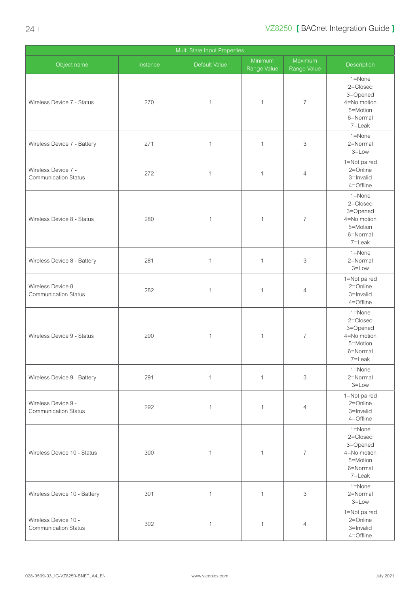|                                                     |          | Multi-State Input Properties |                        |                        |                                                                                 |
|-----------------------------------------------------|----------|------------------------------|------------------------|------------------------|---------------------------------------------------------------------------------|
| Object name                                         | Instance | Default Value                | Minimum<br>Range Value | Maximum<br>Range Value | Description                                                                     |
| Wireless Device 7 - Status                          | 270      | $\mathbf{1}$                 | $\mathbf{1}$           | $\overline{7}$         | 1=None<br>2=Closed<br>3=Opened<br>4=No motion<br>5=Motion<br>6=Normal<br>7=Leak |
| Wireless Device 7 - Battery                         | 271      | $\mathbf{1}$                 | $\mathbf{1}$           | 3                      | 1=None<br>2=Normal<br>$3 = Low$                                                 |
| Wireless Device 7 -<br><b>Communication Status</b>  | 272      | $\mathbf{1}$                 | $\mathbf{1}$           | $\overline{4}$         | 1=Not paired<br>2=Online<br>3=Invalid<br>4=Offline                              |
| Wireless Device 8 - Status                          | 280      | $\mathbf{1}$                 | $\mathbf{1}$           | $\overline{7}$         | 1=None<br>2=Closed<br>3=Opened<br>4=No motion<br>5=Motion<br>6=Normal<br>7=Leak |
| Wireless Device 8 - Battery                         | 281      | $\mathbf{1}$                 | $\mathbf{1}$           | 3                      | 1=None<br>2=Normal<br>$3 = Low$                                                 |
| Wireless Device 8 -<br><b>Communication Status</b>  | 282      | $\mathbf{1}$                 | $\mathbf{1}$           | $\overline{4}$         | 1=Not paired<br>2=Online<br>3=Invalid<br>4=Offline                              |
| Wireless Device 9 - Status                          | 290      | $\mathbf{1}$                 | $\mathbf{1}$           | $\overline{7}$         | 1=None<br>2=Closed<br>3=Opened<br>4=No motion<br>5=Motion<br>6=Normal<br>7=Leak |
| Wireless Device 9 - Battery                         | 291      | $\mathbf{1}$                 | $\mathbf{1}$           | 3                      | 1=None<br>2=Normal<br>$3 = Low$                                                 |
| Wireless Device 9 -<br><b>Communication Status</b>  | 292      | $\mathbf{1}$                 | $\mathbf{1}$           | $\overline{4}$         | 1=Not paired<br>2=Online<br>3=Invalid<br>4=Offline                              |
| Wireless Device 10 - Status                         | 300      | $\mathbf{1}$                 | $\mathbf{1}$           | $\overline{7}$         | 1=None<br>2=Closed<br>3=Opened<br>4=No motion<br>5=Motion<br>6=Normal<br>7=Leak |
| Wireless Device 10 - Battery                        | 301      | $\mathbf{1}$                 | $\mathbf{1}$           | 3                      | 1=None<br>2=Normal<br>$3 = Low$                                                 |
| Wireless Device 10 -<br><b>Communication Status</b> | 302      | $\mathbf{1}$                 | $\mathbf{1}$           | 4                      | 1=Not paired<br>2=Online<br>3=Invalid<br>4=Offline                              |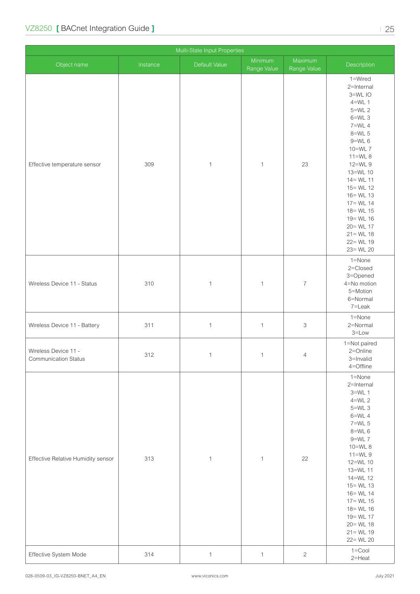|                                                     |          | Multi-State Input Properties |                        |                           |                                                                                                                                                                                                                                                                                                           |
|-----------------------------------------------------|----------|------------------------------|------------------------|---------------------------|-----------------------------------------------------------------------------------------------------------------------------------------------------------------------------------------------------------------------------------------------------------------------------------------------------------|
| Object name                                         | Instance | Default Value                | Minimum<br>Range Value | Maximum<br>Range Value    | Description                                                                                                                                                                                                                                                                                               |
| Effective temperature sensor                        | 309      | $\mathbf{1}$                 | $\mathbf{1}$           | 23                        | 1=Wired<br>2=Internal<br>3=WLIO<br>$4=WL$ 1<br>$5=WL$ 2<br>$6=WL$ 3<br>$7=WL$ 4<br>8=WL 5<br>$9=WL$ 6<br>10=WL 7<br>$11=WL8$<br>12=WL 9<br>13=WL 10<br>$14 = WL 11$<br>$15 = WL 12$<br>$16 = WL 13$<br>$17 = WL 14$<br>$18 = WL 15$<br>19 = WL 16<br>20 = WL 17<br>$21 = WL 18$<br>22= WL 19<br>23= WL 20 |
| Wireless Device 11 - Status                         | 310      | $\mathbf{1}$                 | $\mathbf{1}$           | $\overline{\mathcal{I}}$  | 1=None<br>2=Closed<br>3=Opened<br>4=No motion<br>5=Motion<br>6=Normal<br>7=Leak                                                                                                                                                                                                                           |
| Wireless Device 11 - Battery                        | 311      | $\mathbf{1}$                 | $\mathbf{1}$           | $\ensuremath{\mathsf{3}}$ | 1=None<br>2=Normal<br>$3 = Low$                                                                                                                                                                                                                                                                           |
| Wireless Device 11 -<br><b>Communication Status</b> | 312      | $\mathbf{1}$                 | $\mathbf{1}$           | $\overline{4}$            | 1=Not paired<br>2=Online<br>3=Invalid<br>4=Offline                                                                                                                                                                                                                                                        |
| Effective Relative Humidity sensor                  | 313      | $\mathbf{1}$                 | $\mathbf{1}$           | 22                        | 1=None<br>2=Internal<br>$3=WL$ 1<br>$4=WL$ 2<br>$5=WL$ 3<br>$6=WL$ 4<br>$7=WL$ 5<br>$8=WL$ 6<br>$9=WL$ 7<br>10=WL 8<br>$11=$ WL 9<br>12=WL 10<br>13=WL 11<br>14=WL 12<br>$15 = WL 13$<br>$16 = WL 14$<br>$17 = WL 15$<br>$18 = WL 16$<br>19 = WL 17<br>$20 = WL 18$<br>$21 = WL 19$<br>22= WL 20          |
| Effective System Mode                               | 314      | $\mathbf{1}$                 | $\mathbf{1}$           | $\sqrt{2}$                | $1 =$ Cool<br>$2$ =Heat                                                                                                                                                                                                                                                                                   |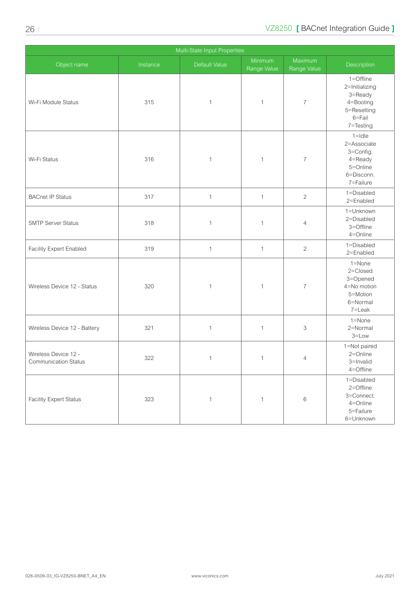| Multi-State Input Properties                        |          |               |                        |                        |                                                                                           |  |
|-----------------------------------------------------|----------|---------------|------------------------|------------------------|-------------------------------------------------------------------------------------------|--|
| Object name                                         | Instance | Default Value | Minimum<br>Range Value | Maximum<br>Range Value | Description                                                                               |  |
| Wi-Fi Module Status                                 | 315      | $\mathbf{1}$  | $\mathbf{1}$           | $\overline{7}$         | 1=Offline<br>2=Initializing<br>3=Ready<br>4=Booting<br>5=Resetting<br>6=Fail<br>7=Testing |  |
| Wi-Fi Status                                        | 316      | $\mathbf{1}$  | $\mathbf{1}$           | $\overline{7}$         | $1 =$ Idle<br>2=Associate<br>3=Config.<br>4=Ready<br>5=Online<br>6=Disconn.<br>7=Failure  |  |
| <b>BACnet IP Status</b>                             | 317      | $\mathbf{1}$  | $\mathbf{1}$           | $\overline{c}$         | 1=Disabled<br>2=Enabled                                                                   |  |
| <b>SMTP Server Status</b>                           | 318      | $\mathbf{1}$  | $\mathbf{1}$           | $\overline{4}$         | 1=Unknown<br>2=Disabled<br>3=Offline<br>4=Online                                          |  |
| Facility Expert Enabled                             | 319      | $\mathbf{1}$  | $\mathbf{1}$           | $\sqrt{2}$             | 1=Disabled<br>2=Enabled                                                                   |  |
| Wireless Device 12 - Status                         | 320      | $\mathbf{1}$  | $\mathbf{1}$           | $\overline{7}$         | 1=None<br>2=Closed<br>3=Opened<br>4=No motion<br>5=Motion<br>6=Normal<br>7=Leak           |  |
| Wireless Device 12 - Battery                        | 321      | $\mathbf{1}$  | $\mathbf{1}$           | 3                      | 1=None<br>2=Normal<br>$3 = Low$                                                           |  |
| Wireless Device 12 -<br><b>Communication Status</b> | 322      | $\mathbf{1}$  | $\mathbf{1}$           | 4                      | 1=Not paired<br>2=Online<br>3=Invalid<br>4=Offline                                        |  |
| <b>Facility Expert Status</b>                       | 323      | $\mathbf{1}$  | $\mathbf{1}$           | $\,6$                  | 1=Disabled<br>2=Offline<br>3=Connect.<br>4=Online<br>5=Failure<br>6=Unknown               |  |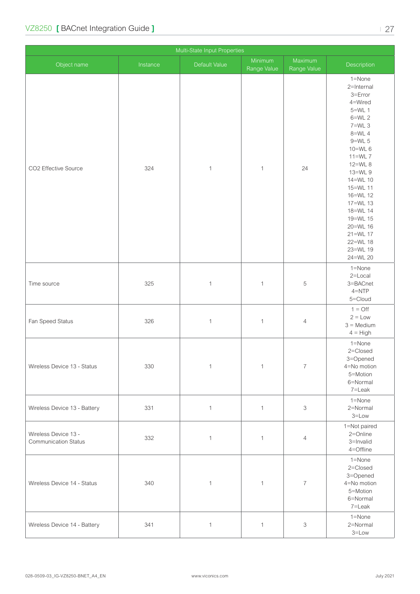| Multi-State Input Properties                        |          |               |                        |                        |                                                                                                                                                                                                                                                                                                |  |
|-----------------------------------------------------|----------|---------------|------------------------|------------------------|------------------------------------------------------------------------------------------------------------------------------------------------------------------------------------------------------------------------------------------------------------------------------------------------|--|
| Object name                                         | Instance | Default Value | Minimum<br>Range Value | Maximum<br>Range Value | Description                                                                                                                                                                                                                                                                                    |  |
| CO2 Effective Source                                | 324      | $\mathbf{1}$  | $\mathbf{1}$           | 24                     | 1=None<br>2=Internal<br>$3 = Error$<br>4=Wired<br>$5=WL$ 1<br>$6=WL$ 2<br>$7=WL$ 3<br>8=WL 4<br>$9=WL$ 5<br>$10=WL$ 6<br>$11=WL$ $7$<br>12=WL 8<br>13=WL 9<br>14=WL 10<br>15=WL 11<br>16=WL 12<br>17=WL 13<br>18=WL 14<br>19=WL 15<br>20=WL 16<br>21=WL 17<br>22=WL 18<br>23=WL 19<br>24=WL 20 |  |
| Time source                                         | 325      | $\mathbf{1}$  | $\mathbf{1}$           | 5                      | 1=None<br>2=Local<br>3=BACnet<br>$4 = NTP$<br>5=Cloud                                                                                                                                                                                                                                          |  |
| Fan Speed Status                                    | 326      | $\mathbf{1}$  | $\mathbf{1}$           | $\overline{4}$         | $1 = \text{Off}$<br>$2 = Low$<br>$3 = \text{Median}$<br>$4 = High$                                                                                                                                                                                                                             |  |
| Wireless Device 13 - Status                         | 330      | $\mathbf{1}$  | $\mathbf{1}$           | $\overline{7}$         | 1=None<br>2=Closed<br>3=Opened<br>4=No motion<br>5=Motion<br>6=Normal<br>7=Leak                                                                                                                                                                                                                |  |
| Wireless Device 13 - Battery                        | 331      | $\mathbf{1}$  | $\mathbf{1}$           | 3                      | 1=None<br>2=Normal<br>$3 = Low$                                                                                                                                                                                                                                                                |  |
| Wireless Device 13 -<br><b>Communication Status</b> | 332      | $\mathbf{1}$  | $\mathbf{1}$           | $\overline{4}$         | 1=Not paired<br>2=Online<br>3=Invalid<br>4=Offline                                                                                                                                                                                                                                             |  |
| Wireless Device 14 - Status                         | 340      | $\mathbf{1}$  | $\mathbf{1}$           | $\overline{7}$         | 1=None<br>2=Closed<br>3=Opened<br>4=No motion<br>5=Motion<br>6=Normal<br>7=Leak                                                                                                                                                                                                                |  |
| Wireless Device 14 - Battery                        | 341      | $\mathbf{1}$  | $\mathbf{1}$           | 3                      | 1=None<br>2=Normal<br>$3 = Low$                                                                                                                                                                                                                                                                |  |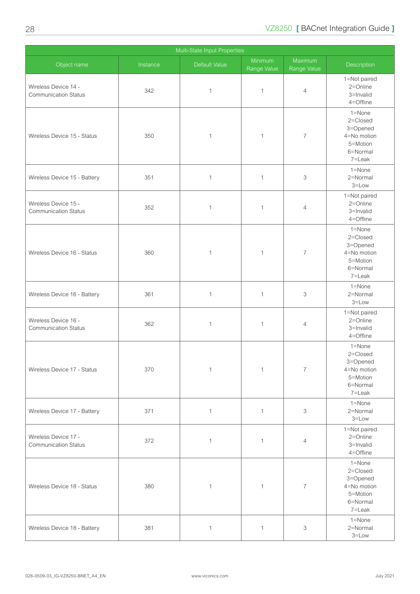|                                                     | Multi-State Input Properties |               |                        |                        |                                                                                     |  |  |
|-----------------------------------------------------|------------------------------|---------------|------------------------|------------------------|-------------------------------------------------------------------------------------|--|--|
| Object name                                         | Instance                     | Default Value | Minimum<br>Range Value | Maximum<br>Range Value | Description                                                                         |  |  |
| Wireless Device 14 -<br><b>Communication Status</b> | 342                          | $\mathbf{1}$  | $\mathbf{1}$           | $\overline{4}$         | 1=Not paired<br>$2 =$ Online<br>3=Invalid<br>4=Offline                              |  |  |
| Wireless Device 15 - Status                         | 350                          | $\mathbf{1}$  | 1                      | 7                      | 1=None<br>2=Closed<br>3=Opened<br>4=No motion<br>5=Motion<br>6=Normal<br>7=Leak     |  |  |
| Wireless Device 15 - Battery                        | 351                          | $\mathbf{1}$  | $\mathbf{1}$           | 3                      | 1=None<br>2=Normal<br>$3 = Low$                                                     |  |  |
| Wireless Device 15 -<br><b>Communication Status</b> | 352                          | $\mathbf{1}$  | 1                      | $\overline{4}$         | 1=Not paired<br>2=Online<br>3=Invalid<br>$4 =$ Offline                              |  |  |
| Wireless Device 16 - Status                         | 360                          | 1             | 1                      | 7                      | $1 =$ None<br>2=Closed<br>3=Opened<br>4=No motion<br>5=Motion<br>6=Normal<br>7=Leak |  |  |
| Wireless Device 16 - Battery                        | 361                          | $\mathbf{1}$  | $\mathbf{1}$           | 3                      | 1=None<br>2=Normal<br>$3 = Low$                                                     |  |  |
| Wireless Device 16 -<br><b>Communication Status</b> | 362                          | $\mathbf{1}$  | 1                      | $\overline{4}$         | 1=Not paired<br>2=Online<br>3=Invalid<br>4=Offline                                  |  |  |
| Wireless Device 17 - Status                         | 370                          | $\mathbf 1$   | $\mathbf{1}$           | $\overline{7}$         | 1=None<br>2=Closed<br>3=Opened<br>4=No motion<br>5=Motion<br>6=Normal<br>7=Leak     |  |  |
| Wireless Device 17 - Battery                        | 371                          | $\mathbf{1}$  | $\mathbf{1}$           | 3                      | 1=None<br>2=Normal<br>$3 = Low$                                                     |  |  |
| Wireless Device 17 -<br><b>Communication Status</b> | 372                          | $\mathbf{1}$  | $\mathbf{1}$           | $\overline{4}$         | 1=Not paired<br>2=Online<br>3=Invalid<br>4=Offline                                  |  |  |
| Wireless Device 18 - Status                         | 380                          | $\mathbf{1}$  | 1                      | $\overline{7}$         | 1=None<br>2=Closed<br>3=Opened<br>4=No motion<br>5=Motion<br>6=Normal<br>7=Leak     |  |  |
| Wireless Device 18 - Battery                        | 381                          | $\mathbf{1}$  | 1                      | 3                      | 1=None<br>2=Normal<br>$3 = Low$                                                     |  |  |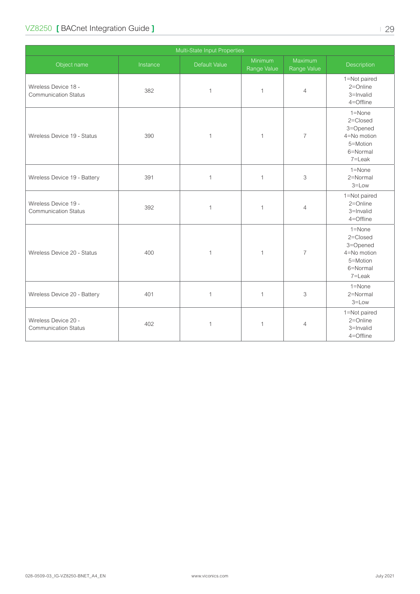| Multi-State Input Properties                        |          |               |                        |                        |                                                                                     |
|-----------------------------------------------------|----------|---------------|------------------------|------------------------|-------------------------------------------------------------------------------------|
| Object name                                         | Instance | Default Value | Minimum<br>Range Value | Maximum<br>Range Value | Description                                                                         |
| Wireless Device 18 -<br><b>Communication Status</b> | 382      | $\mathbf{1}$  | $\mathbf{1}$           | $\overline{4}$         | 1=Not paired<br>2=Online<br>3=Invalid<br>4=Offline                                  |
| Wireless Device 19 - Status                         | 390      | $\mathbf{1}$  | $\mathbf{1}$           | $\overline{7}$         | $1 =$ None<br>2=Closed<br>3=Opened<br>4=No motion<br>5=Motion<br>6=Normal<br>7=Leak |
| Wireless Device 19 - Battery                        | 391      | $\mathbf{1}$  | $\mathbf{1}$           | 3                      | $1 =$ None<br>2=Normal<br>$3 = Low$                                                 |
| Wireless Device 19 -<br><b>Communication Status</b> | 392      | $\mathbf{1}$  | $\mathbf{1}$           | $\overline{4}$         | 1=Not paired<br>2=Online<br>3=Invalid<br>4=Offline                                  |
| Wireless Device 20 - Status                         | 400      | $\mathbf{1}$  | $\mathbf{1}$           | $\overline{7}$         | 1=None<br>2=Closed<br>3=Opened<br>4=No motion<br>5=Motion<br>6=Normal<br>7=Leak     |
| Wireless Device 20 - Battery                        | 401      | $\mathbf{1}$  | $\mathbf{1}$           | 3                      | 1=None<br>2=Normal<br>$3 = Low$                                                     |
| Wireless Device 20 -<br><b>Communication Status</b> | 402      | $\mathbf{1}$  | $\mathbf{1}$           | $\overline{4}$         | 1=Not paired<br>$2 =$ Online<br>3=Invalid<br>4=Offline                              |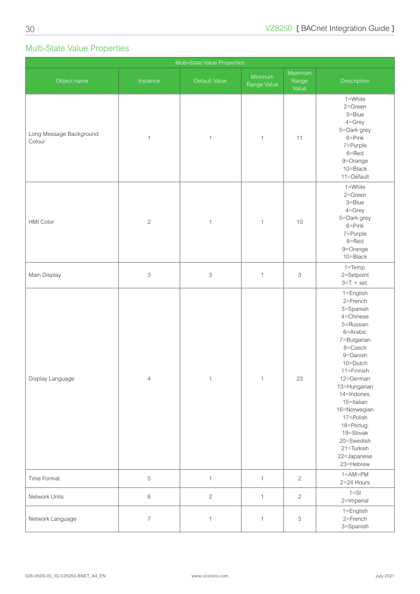## <span id="page-29-0"></span>Multi-State Value Properties

| Multi-State Value Properties      |                           |                           |                        |                           |                                                                                                                                                                                                                                                                                                                    |
|-----------------------------------|---------------------------|---------------------------|------------------------|---------------------------|--------------------------------------------------------------------------------------------------------------------------------------------------------------------------------------------------------------------------------------------------------------------------------------------------------------------|
| Object name                       | Instance                  | Default Value             | Minimum<br>Range Value | Maximum<br>Range<br>Value | Description                                                                                                                                                                                                                                                                                                        |
| Long Message Background<br>Colour | $\mathbf{1}$              | $\mathbf{1}$              | $\mathbf 1$            | 11                        | 1=White<br>2=Green<br>$3 =$ Blue<br>$4 =$ Grey<br>5=Dark grey<br>$6 = Pink$<br>7=Purple<br>8=Red<br>9=Orange<br>10=Black<br>11=Default                                                                                                                                                                             |
| HMI Color                         | $\overline{c}$            | $\mathbf{1}$              | $\mathbf 1$            | 10                        | 1=White<br>$2 =$ Green<br>3=Blue<br>$4 =$ Grey<br>5=Dark grey<br>$6 = Pink$<br>7=Purple<br>8=Red<br>9=Orange<br>10=Black                                                                                                                                                                                           |
| Main Display                      | $\ensuremath{\mathsf{3}}$ | $\ensuremath{\mathsf{3}}$ | $\mathbf{1}$           | 3                         | $1 = Temp.$<br>2=Setpoint<br>$3=T + set$ .                                                                                                                                                                                                                                                                         |
| Display Language                  | $\sqrt{4}$                | $\mathbbm{1}$             | $\mathbf{1}$           | 23                        | 1=English<br>2=French<br>3=Spanish<br>4=Chinese<br>5=Russian<br>6=Arabic<br>7=Bulgarian<br>8=Czech<br>9=Danish<br>10=Dutch<br>11=Finnish<br>12=German<br>13=Hungarian<br>14=Indones.<br>15=Italian<br>16=Norwegian<br>17=Polish<br>18=Portug.<br>19=Slovak<br>20=Swedish<br>21=Turkish<br>22=Japanese<br>23=Hebrew |
| Time Format                       | $\,$ 5 $\,$               | $\mathbf{1}$              | $\mathbf{1}$           | $\sqrt{2}$                | $1 = AM = PM$<br>2=24 Hours                                                                                                                                                                                                                                                                                        |
| Network Units                     | $\,6\,$                   | $\sqrt{2}$                | $\mathbf{1}$           | $\mathbf{2}$              | $1 = S1$<br>2=Imperial                                                                                                                                                                                                                                                                                             |
| Network Language                  | $\overline{7}$            | $\mathbf{1}$              | $\mathbf{1}$           | 3                         | 1=English<br>2=French<br>3=Spanish                                                                                                                                                                                                                                                                                 |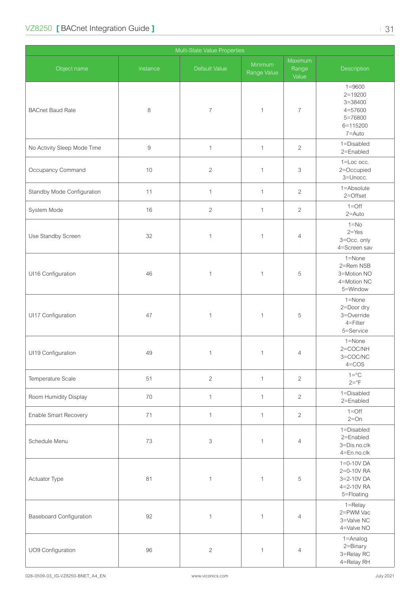| Multi-State Value Properties   |                  |                          |                        |                           |                                                                                      |
|--------------------------------|------------------|--------------------------|------------------------|---------------------------|--------------------------------------------------------------------------------------|
| Object name                    | Instance         | Default Value            | Minimum<br>Range Value | Maximum<br>Range<br>Value | Description                                                                          |
| <b>BACnet Baud Rate</b>        | 8                | $\overline{\mathcal{I}}$ | $\mathbf{1}$           | $\overline{7}$            | $1 = 9600$<br>$2 = 19200$<br>$3 = 38400$<br>4=57600<br>5=76800<br>6=115200<br>7=Auto |
| No Activity Sleep Mode Time    | $\boldsymbol{9}$ | $\mathbf{1}$             | $\mathbf{1}$           | $\overline{c}$            | 1=Disabled<br>2=Enabled                                                              |
| Occupancy Command              | 10               | $\overline{2}$           | $\mathbf{1}$           | 3                         | 1=Loc occ.<br>2=Occupied<br>3=Unocc.                                                 |
| Standby Mode Configuration     | 11               | $\mathbf{1}$             | $\mathbf{1}$           | $\overline{2}$            | 1=Absolute<br>2=Offset                                                               |
| System Mode                    | 16               | $\overline{2}$           | $\mathbf{1}$           | $\overline{2}$            | $1 =$ Off<br>$2 =$ Auto                                                              |
| Use Standby Screen             | 32               | $\mathbf{1}$             | $\mathbf{1}$           | $\overline{4}$            | $1 = No$<br>$2 = Yes$<br>3=Occ. only<br>4=Screen sav                                 |
| UI16 Configuration             | 46               | $\mathbf{1}$             | $\mathbf{1}$           | 5                         | 1=None<br>2=Rem NSB<br>3=Motion NO<br>4=Motion NC<br>5=Window                        |
| UI17 Configuration             | 47               | $\mathbf 1$              | $\mathbf{1}$           | 5                         | 1=None<br>2=Door dry<br>3=Override<br>4=Filter<br>5=Service                          |
| UI19 Configuration             | 49               | $\mathbf{1}$             | $\mathbf{1}$           | $\overline{4}$            | $1 =$ None<br>2=COC/NH<br>3=COC/NC<br>$4 = COS$                                      |
| Temperature Scale              | 51               | $\overline{c}$           | $\mathbf{1}$           | $\overline{2}$            | $1 = \circ C$<br>$2 = P$                                                             |
| Room Humidity Display          | 70               | $\mathbf{1}$             | $\mathbf{1}$           | $\overline{c}$            | 1=Disabled<br>2=Enabled                                                              |
| Enable Smart Recovery          | 71               | $\mathbf{1}$             | $\mathbf{1}$           | $\overline{2}$            | $1 = \text{Off}$<br>$2=On$                                                           |
| Schedule Menu                  | 73               | 3                        | $\mathbf{1}$           | $\overline{4}$            | 1=Disabled<br>2=Enabled<br>3=Dis.no.clk<br>4=En.no.clk                               |
| Actuator Type                  | 81               | $\mathbf{1}$             | $\mathbf{1}$           | 5                         | $1 = 0 - 10V$ DA<br>2=0-10V RA<br>3=2-10V DA<br>4=2-10V RA<br>5=Floating             |
| <b>Baseboard Configuration</b> | 92               | $\mathbf{1}$             | $\mathbf{1}$           | $\overline{4}$            | $1 =$ Relay<br>2=PWM Vac<br>3=Valve NC<br>4=Valve NO                                 |
| UO9 Configuration              | 96               | $\sqrt{2}$               | $\mathbf{1}$           | $\overline{4}$            | 1=Analog<br>2=Binary<br>3=Relay RC<br>4=Relay RH                                     |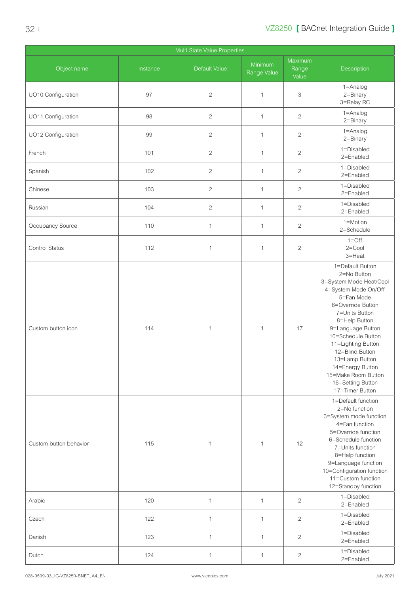| Multi-State Value Properties |          |                |                        |                           |                                                                                                                                                                                                                                                                                                                                                   |
|------------------------------|----------|----------------|------------------------|---------------------------|---------------------------------------------------------------------------------------------------------------------------------------------------------------------------------------------------------------------------------------------------------------------------------------------------------------------------------------------------|
| Object name                  | Instance | Default Value  | Minimum<br>Range Value | Maximum<br>Range<br>Value | Description                                                                                                                                                                                                                                                                                                                                       |
| UO10 Configuration           | 97       | $\sqrt{2}$     | $\mathbf{1}$           | 3                         | 1=Analog<br>2=Binary<br>3=Relay RC                                                                                                                                                                                                                                                                                                                |
| UO11 Configuration           | 98       | $\sqrt{2}$     | $\mathbf{1}$           | $\mathbf{2}$              | $1 =$ Analog<br>2=Binary                                                                                                                                                                                                                                                                                                                          |
| UO12 Configuration           | 99       | $\overline{c}$ | $\mathbf{1}$           | $\overline{2}$            | 1=Analog<br>2=Binary                                                                                                                                                                                                                                                                                                                              |
| French                       | 101      | $\overline{2}$ | $\mathbf{1}$           | $\overline{2}$            | 1=Disabled<br>2=Enabled                                                                                                                                                                                                                                                                                                                           |
| Spanish                      | 102      | $\sqrt{2}$     | $\mathbf{1}$           | $\overline{2}$            | 1=Disabled<br>2=Enabled                                                                                                                                                                                                                                                                                                                           |
| Chinese                      | 103      | $\sqrt{2}$     | $\mathbf{1}$           | $\overline{2}$            | 1=Disabled<br>2=Enabled                                                                                                                                                                                                                                                                                                                           |
| Russian                      | 104      | $\overline{c}$ | $\mathbf{1}$           | $\mathbf{2}$              | 1=Disabled<br>2=Enabled                                                                                                                                                                                                                                                                                                                           |
| Occupancy Source             | 110      | $\mathbf{1}$   | $\mathbf{1}$           | $\mathbf{2}$              | 1=Motion<br>2=Schedule                                                                                                                                                                                                                                                                                                                            |
| Control Status               | 112      | $\mathbf{1}$   | $\mathbf{1}$           | $\mathbf{2}$              | $1 =$ Off<br>$2 =$ Cool<br>3=Heat                                                                                                                                                                                                                                                                                                                 |
| Custom button icon           | 114      | $\mathbf{1}$   | $\mathbf{1}$           | 17                        | 1=Default Button<br>2=No Button<br>3=System Mode Heat/Cool<br>4=System Mode On/Off<br>5=Fan Mode<br>6=Override Button<br>7=Units Button<br>8=Help Button<br>9=Language Button<br>10=Schedule Button<br>11=Lighting Button<br>12=Blind Button<br>13=Lamp Button<br>14=Energy Button<br>15=Make Room Button<br>16=Setting Button<br>17=Timer Button |
| Custom button behavior       | 115      | $\mathbf{1}$   | $\mathbf{1}$           | 12                        | 1=Default function<br>2=No function<br>3=System mode function<br>4=Fan function<br>5=Override function<br>6=Schedule function<br>7=Units function<br>8=Help function<br>9=Language function<br>10=Configuration function<br>11=Custom function<br>12=Standby function                                                                             |
| Arabic                       | 120      | $\mathbf{1}$   | $\mathbf{1}$           | $\mathbf{2}$              | 1=Disabled<br>2=Enabled                                                                                                                                                                                                                                                                                                                           |
| Czech                        | 122      | $\mathbf{1}$   | $\mathbf{1}$           | $\mathbf{2}$              | 1=Disabled<br>2=Enabled                                                                                                                                                                                                                                                                                                                           |
| Danish                       | 123      | $\mathbf{1}$   | $\mathbf{1}$           | $\overline{2}$            | 1=Disabled<br>2=Enabled                                                                                                                                                                                                                                                                                                                           |
| Dutch                        | 124      | $\mathbf{1}$   | $\mathbf{1}$           | $\overline{c}$            | 1=Disabled<br>2=Enabled                                                                                                                                                                                                                                                                                                                           |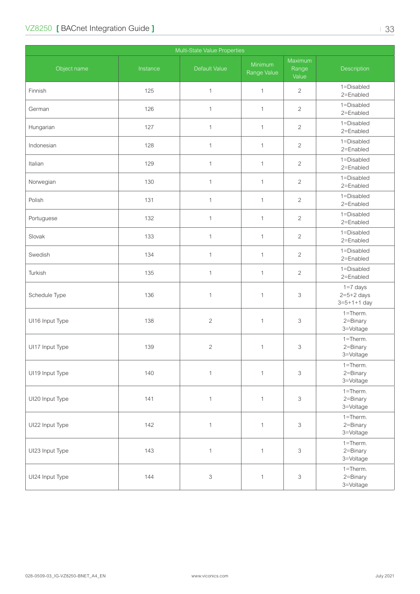| Multi-State Value Properties |          |                           |                        |                           |                                                   |
|------------------------------|----------|---------------------------|------------------------|---------------------------|---------------------------------------------------|
| Object name                  | Instance | Default Value             | Minimum<br>Range Value | Maximum<br>Range<br>Value | Description                                       |
| Finnish                      | 125      | $\mathbf{1}$              | $\mathbf{1}$           | $\overline{2}$            | 1=Disabled<br>2=Enabled                           |
| German                       | 126      | $\mathbf 1$               | $\mathbf{1}$           | $\overline{2}$            | 1=Disabled<br>2=Enabled                           |
| Hungarian                    | 127      | $\ensuremath{\mathsf{1}}$ | $\mathbf{1}$           | $\overline{2}$            | 1=Disabled<br>2=Enabled                           |
| Indonesian                   | 128      | $\mathbf{1}$              | $\mathbf{1}$           | $\mathbf{2}$              | 1=Disabled<br>2=Enabled                           |
| Italian                      | 129      | $\mathbf 1$               | $\mathbf{1}$           | $\mathbf{2}$              | 1=Disabled<br>2=Enabled                           |
| Norwegian                    | 130      | $\mathbf{1}$              | $\mathbf{1}$           | $\overline{c}$            | 1=Disabled<br>2=Enabled                           |
| Polish                       | 131      | 1                         | $\mathbf{1}$           | $\overline{2}$            | 1=Disabled<br>2=Enabled                           |
| Portuguese                   | 132      | $\mathbf{1}$              | $\mathbf{1}$           | $\overline{2}$            | 1=Disabled<br>2=Enabled                           |
| Slovak                       | 133      | $\mathbf{1}$              | $\mathbf{1}$           | $\overline{2}$            | 1=Disabled<br>2=Enabled                           |
| Swedish                      | 134      | $\mathbf{1}$              | $\mathbf{1}$           | $\mathbf{2}$              | 1=Disabled<br>2=Enabled                           |
| Turkish                      | 135      | $\mathbf{1}$              | $\mathbf{1}$           | $\mathbf{2}$              | 1=Disabled<br>2=Enabled                           |
| Schedule Type                | 136      | $\mathbf{1}$              | $\mathbf{1}$           | 3                         | $1=7$ days<br>$2=5+2$ days<br>$3 = 5 + 1 + 1$ day |
| UI16 Input Type              | 138      | $\sqrt{2}$                | $\mathbf{1}$           | 3                         | 1=Therm.<br>2=Binary<br>3=Voltage                 |
| UI17 Input Type              | 139      | $\sqrt{2}$                | $\mathbf 1$            | 3                         | 1=Therm.<br>2=Binary<br>3=Voltage                 |
| UI19 Input Type              | 140      | $\mathbf 1$               | $\mathbf{1}$           | $\ensuremath{\mathsf{3}}$ | 1=Therm.<br>2=Binary<br>3=Voltage                 |
| UI20 Input Type              | 141      | $\mathbf{1}$              | $\mathbf{1}$           | 3                         | 1=Therm.<br>2=Binary<br>3=Voltage                 |
| UI22 Input Type              | 142      | $\mathbf{1}$              | $\mathbf{1}$           | 3                         | $1 =$ Therm.<br>2=Binary<br>3=Voltage             |
| UI23 Input Type              | 143      | $\mathbf{1}$              | $\mathbf{1}$           | 3                         | $1 =$ Therm.<br>2=Binary<br>3=Voltage             |
| UI24 Input Type              | 144      | $\ensuremath{\mathsf{3}}$ | $\mathbf{1}$           | 3                         | $1 =$ Therm.<br>2=Binary<br>3=Voltage             |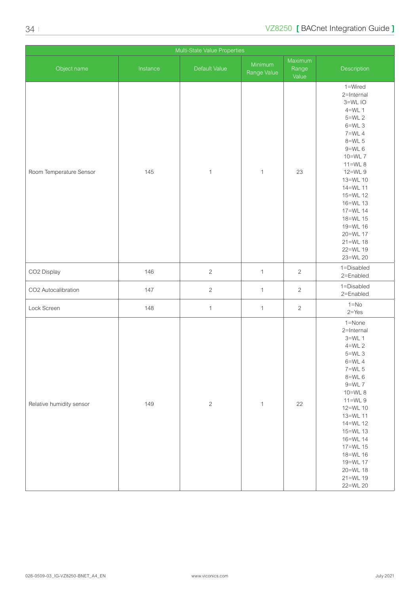| Multi-State Value Properties |          |               |                        |                           |                                                                                                                                                                                                                                                                                   |
|------------------------------|----------|---------------|------------------------|---------------------------|-----------------------------------------------------------------------------------------------------------------------------------------------------------------------------------------------------------------------------------------------------------------------------------|
| Object name                  | Instance | Default Value | Minimum<br>Range Value | Maximum<br>Range<br>Value | Description                                                                                                                                                                                                                                                                       |
| Room Temperature Sensor      | 145      | $\mathbf{1}$  | $\mathbf{1}$           | 23                        | 1=Wired<br>2=Internal<br>3=WLIO<br>$4=WL$ 1<br>$5=WL$ 2<br>$6=WL$ 3<br>$7=WL$ 4<br>$8=WL$ 5<br>$9=WL$ 6<br>10=WL 7<br>$11=WL8$<br>12=WL 9<br>13=WL 10<br>14=WL 11<br>15=WL 12<br>16=WL 13<br>17=WL 14<br>18=WL 15<br>19=WL 16<br>20=WL 17<br>$21 = WL$ 18<br>22=WL 19<br>23=WL 20 |
| CO2 Display                  | 146      | $\mathbf{2}$  | $\mathbf{1}$           | $\sqrt{2}$                | 1=Disabled<br>2=Enabled                                                                                                                                                                                                                                                           |
| CO2 Autocalibration          | 147      | $\mathbf{2}$  | $\mathbf{1}$           | $\overline{c}$            | 1=Disabled<br>2=Enabled                                                                                                                                                                                                                                                           |
| Lock Screen                  | 148      | $\mathbf{1}$  | $\mathbf{1}$           | $\sqrt{2}$                | $1 = No$<br>$2 = Yes$                                                                                                                                                                                                                                                             |
| Relative humidity sensor     | 149      | $\sqrt{2}$    | $\mathbf{1}$           | 22                        | 1=None<br>2=Internal<br>$3=WL$ 1<br>$4=WL$ 2<br>$5=WL$ 3<br>$6=WL$ 4<br>$7=WL$ 5<br>$8=$ WL $6$<br>$9=WL$ 7<br>10=WL 8<br>$11=WL9$<br>12=WL 10<br>13=WL 11<br>14=WL 12<br>15=WL 13<br>16=WL 14<br>17=WL 15<br>18=WL 16<br>19=WL 17<br>20=WL 18<br>21=WL 19<br>22=WL 20            |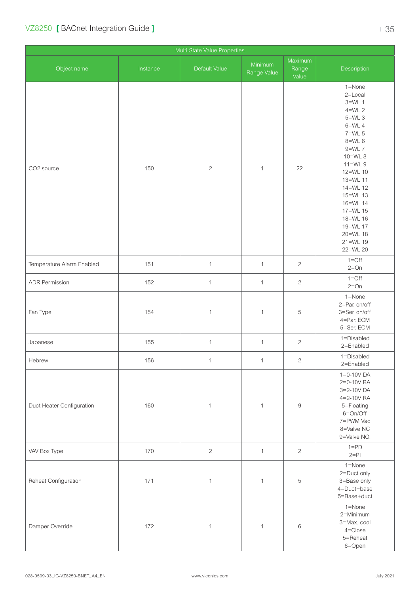| Multi-State Value Properties |          |                |                        |                           |                                                                                                                                                                                                                                                                    |
|------------------------------|----------|----------------|------------------------|---------------------------|--------------------------------------------------------------------------------------------------------------------------------------------------------------------------------------------------------------------------------------------------------------------|
| Object name                  | Instance | Default Value  | Minimum<br>Range Value | Maximum<br>Range<br>Value | Description                                                                                                                                                                                                                                                        |
| CO2 source                   | 150      | $\sqrt{2}$     | $\mathbf{1}$           | 22                        | 1=None<br>2=Local<br>$3=WL$ 1<br>$4=WL$ 2<br>$5=WL$ 3<br>$6=WL$ 4<br>$7=WL$ 5<br>$8=WL$ 6<br>$9=WL$ 7<br>10=WL 8<br>$11=$ WL 9<br>12=WL 10<br>13=WL 11<br>14=WL 12<br>15=WL 13<br>16=WL 14<br>17=WL 15<br>18=WL 16<br>19=WL 17<br>20=WL 18<br>21=WL 19<br>22=WL 20 |
| Temperature Alarm Enabled    | 151      | $\mathbf{1}$   | $\mathbf{1}$           | $\overline{c}$            | $1 =$ Off<br>$2=On$                                                                                                                                                                                                                                                |
| <b>ADR Permission</b>        | 152      | $\mathbf{1}$   | $\mathbf{1}$           | $\overline{c}$            | $1 = \bigcirc$<br>$2=On$                                                                                                                                                                                                                                           |
| Fan Type                     | 154      | $\mathbf{1}$   | $\mathbf{1}$           | 5                         | 1=None<br>2=Par. on/off<br>3=Ser. on/off<br>4=Par. ECM<br>5=Ser. ECM                                                                                                                                                                                               |
| Japanese                     | 155      | $\mathbf{1}$   | $\mathbf{1}$           | $\overline{c}$            | 1=Disabled<br>2=Enabled                                                                                                                                                                                                                                            |
| Hebrew                       | 156      | $\overline{1}$ | $\overline{1}$         | $\sqrt{2}$                | 1=Disabled<br>2=Enabled                                                                                                                                                                                                                                            |
| Duct Heater Configuration    | 160      | $\mathbf{1}$   | $\mathbf{1}$           | $\boldsymbol{9}$          | 1=0-10V DA<br>2=0-10V RA<br>3=2-10V DA<br>4=2-10V RA<br>5=Floating<br>6=On/Off<br>7=PWM Vac<br>8=Valve NC<br>9=Valve NO,                                                                                                                                           |
| VAV Box Type                 | 170      | $\sqrt{2}$     | $\mathbf{1}$           | $\overline{c}$            | $1 = PD$<br>$2=PI$                                                                                                                                                                                                                                                 |
| Reheat Configuration         | 171      | $\mathbf{1}$   | $\mathbf{1}$           | 5                         | 1=None<br>2=Duct only<br>3=Base only<br>4=Duct+base<br>5=Base+duct                                                                                                                                                                                                 |
| Damper Override              | 172      | $\mathbf 1$    | $\mathbf{1}$           | $\,$ 6 $\,$               | 1=None<br>2=Minimum<br>3=Max. cool<br>4=Close<br>5=Reheat<br>6=Open                                                                                                                                                                                                |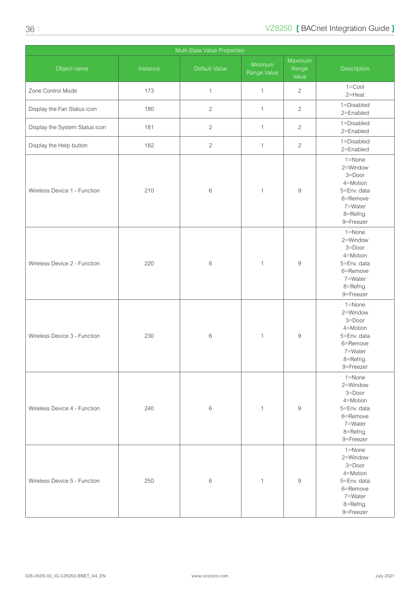| Multi-State Value Properties   |          |                |                        |                           |                                                                                                              |
|--------------------------------|----------|----------------|------------------------|---------------------------|--------------------------------------------------------------------------------------------------------------|
| Object name                    | Instance | Default Value  | Minimum<br>Range Value | Maximum<br>Range<br>Value | Description                                                                                                  |
| Zone Control Mode              | 173      | $\mathbf{1}$   | $\mathbf{1}$           | $\overline{c}$            | $1 =$ Cool<br>2=Heat                                                                                         |
| Display the Fan Status icon    | 180      | $\overline{c}$ | $\mathbf{1}$           | $\overline{2}$            | 1=Disabled<br>2=Enabled                                                                                      |
| Display the System Status icon | 181      | $\sqrt{2}$     | $\mathbf{1}$           | $\sqrt{2}$                | 1=Disabled<br>2=Enabled                                                                                      |
| Display the Help button        | 182      | $\mathbf{2}$   | $\mathbf{1}$           | $\mathbf{2}$              | 1=Disabled<br>2=Enabled                                                                                      |
| Wireless Device 1 - Function   | 210      | $\,6$          | 1                      | $\boldsymbol{9}$          | 1=None<br>2=Window<br>3=Door<br>4=Motion<br>5=Env. data<br>6=Remove<br>7=Water<br>8=Refrig.<br>9=Freezer     |
| Wireless Device 2 - Function   | 220      | $\,6$          | $\mathbf{1}$           | $\boldsymbol{9}$          | 1=None<br>2=Window<br>3=Door<br>4=Motion<br>5=Env. data<br>6=Remove<br>7=Water<br>8=Refrig.<br>9=Freezer     |
| Wireless Device 3 - Function   | 230      | $\,6$          | 1                      | $\boldsymbol{9}$          | 1=None<br>2=Window<br>3=Door<br>4=Motion<br>5=Env. data<br>6=Remove<br>7=Water<br>8=Refrig.<br>9=Freezer     |
| Wireless Device 4 - Function   | 240      | $\,6$          | $\mathbf{1}$           | $\,9$                     | $1 =$ None<br>2=Window<br>3=Door<br>4=Motion<br>5=Env. data<br>6=Remove<br>7=Water<br>8=Refrig.<br>9=Freezer |
| Wireless Device 5 - Function   | 250      | $\,6$          | 1                      | $\boldsymbol{9}$          | 1=None<br>2=Window<br>3=Door<br>4=Motion<br>5=Env. data<br>6=Remove<br>7=Water<br>8=Refrig.<br>9=Freezer     |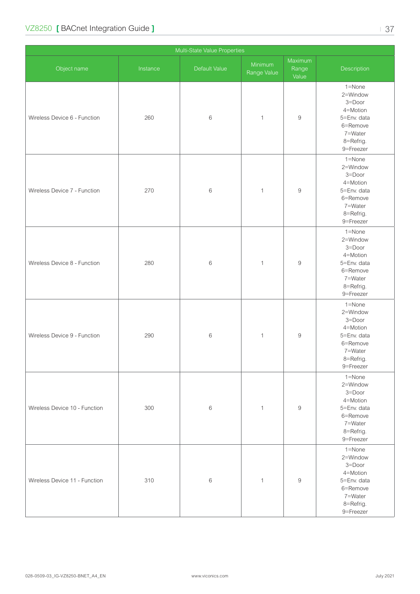| Multi-State Value Properties  |          |               |                        |                           |                                                                                                          |
|-------------------------------|----------|---------------|------------------------|---------------------------|----------------------------------------------------------------------------------------------------------|
| Object name                   | Instance | Default Value | Minimum<br>Range Value | Maximum<br>Range<br>Value | Description                                                                                              |
| Wireless Device 6 - Function  | 260      | 6             | $\mathbf{1}$           | $\boldsymbol{9}$          | 1=None<br>2=Window<br>3=Door<br>4=Motion<br>5=Env. data<br>6=Remove<br>7=Water<br>8=Refrig.<br>9=Freezer |
| Wireless Device 7 - Function  | 270      | $\,6$         | $\mathbf{1}$           | $\boldsymbol{9}$          | 1=None<br>2=Window<br>3=Door<br>4=Motion<br>5=Env. data<br>6=Remove<br>7=Water<br>8=Refrig.<br>9=Freezer |
| Wireless Device 8 - Function  | 280      | 6             | $\mathbf{1}$           | $\boldsymbol{9}$          | 1=None<br>2=Window<br>3=Door<br>4=Motion<br>5=Env. data<br>6=Remove<br>7=Water<br>8=Refrig.<br>9=Freezer |
| Wireless Device 9 - Function  | 290      | 6             | $\mathbf{1}$           | $\boldsymbol{9}$          | 1=None<br>2=Window<br>3=Door<br>4=Motion<br>5=Env. data<br>6=Remove<br>7=Water<br>8=Refrig.<br>9=Freezer |
| Wireless Device 10 - Function | 300      | 6             | $\mathbf{1}$           | $\boldsymbol{9}$          | 1=None<br>2=Window<br>3=Door<br>4=Motion<br>5=Env. data<br>6=Remove<br>7=Water<br>8=Refrig.<br>9=Freezer |
| Wireless Device 11 - Function | 310      | 6             | $\mathbf{1}$           | $\boldsymbol{9}$          | 1=None<br>2=Window<br>3=Door<br>4=Motion<br>5=Env. data<br>6=Remove<br>7=Water<br>8=Refrig.<br>9=Freezer |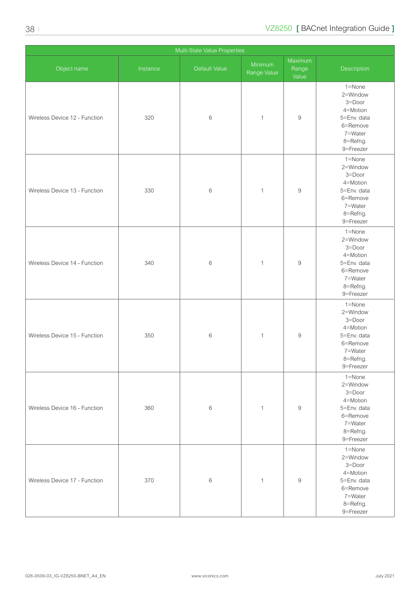| Multi-State Value Properties  |          |               |                        |                           |                                                                                                          |
|-------------------------------|----------|---------------|------------------------|---------------------------|----------------------------------------------------------------------------------------------------------|
| Object name                   | Instance | Default Value | Minimum<br>Range Value | Maximum<br>Range<br>Value | Description                                                                                              |
| Wireless Device 12 - Function | 320      | 6             | $\mathbf 1$            | $\boldsymbol{9}$          | 1=None<br>2=Window<br>3=Door<br>4=Motion<br>5=Env. data<br>6=Remove<br>7=Water<br>8=Refrig.<br>9=Freezer |
| Wireless Device 13 - Function | 330      | $\,6$         | $\mathbf{1}$           | $\hbox{9}$                | 1=None<br>2=Window<br>3=Door<br>4=Motion<br>5=Env. data<br>6=Remove<br>7=Water<br>8=Refrig.<br>9=Freezer |
| Wireless Device 14 - Function | 340      | 6             | $\mathbf{1}$           | $\boldsymbol{9}$          | 1=None<br>2=Window<br>3=Door<br>4=Motion<br>5=Env. data<br>6=Remove<br>7=Water<br>8=Refrig.<br>9=Freezer |
| Wireless Device 15 - Function | 350      | 6             | $\mathbf{1}$           | $\boldsymbol{9}$          | 1=None<br>2=Window<br>3=Door<br>4=Motion<br>5=Env. data<br>6=Remove<br>7=Water<br>8=Refrig.<br>9=Freezer |
| Wireless Device 16 - Function | 360      | $\,6$         | $\mathbf{1}$           | $\boldsymbol{9}$          | 1=None<br>2=Window<br>3=Door<br>4=Motion<br>5=Env. data<br>6=Remove<br>7=Water<br>8=Refrig.<br>9=Freezer |
| Wireless Device 17 - Function | 370      | $\,6$         | $\mathbf{1}$           | $\boldsymbol{9}$          | 1=None<br>2=Window<br>3=Door<br>4=Motion<br>5=Env. data<br>6=Remove<br>7=Water<br>8=Refrig.<br>9=Freezer |